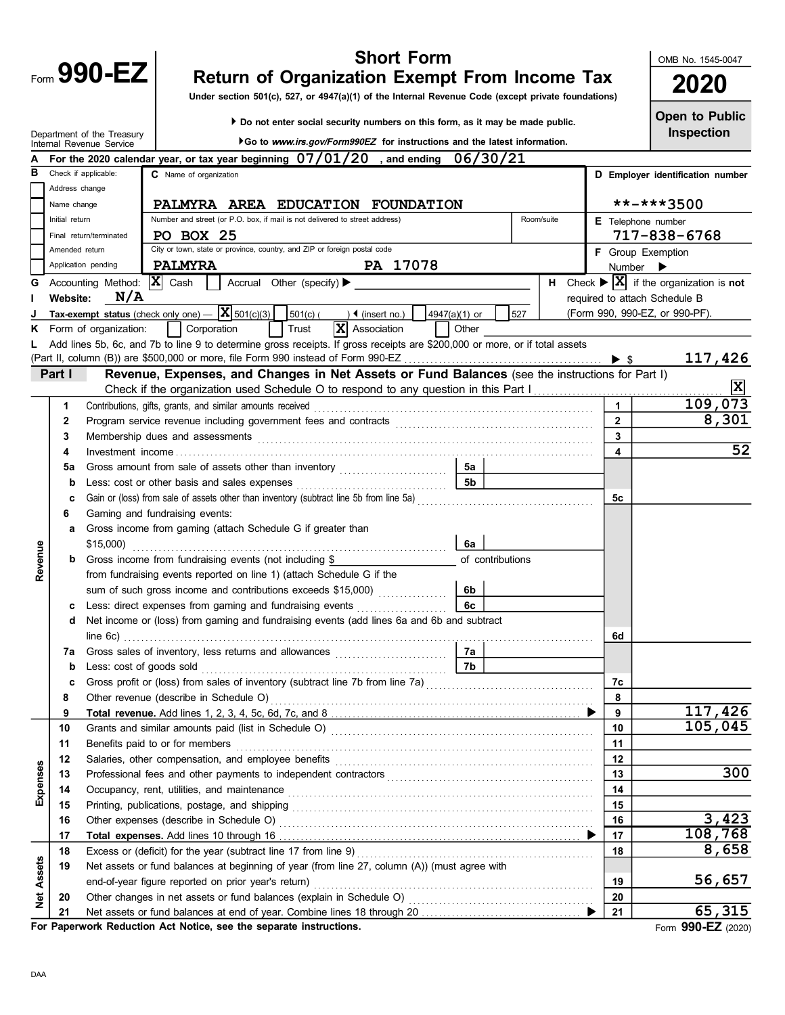|                      |                               |                                                  | <b>Short Form</b>                                                                                                                                                                                                                                                                          |                  |            |                              | OMB No. 1545-0047                                                                    |
|----------------------|-------------------------------|--------------------------------------------------|--------------------------------------------------------------------------------------------------------------------------------------------------------------------------------------------------------------------------------------------------------------------------------------------|------------------|------------|------------------------------|--------------------------------------------------------------------------------------|
|                      |                               | Form 990- $EZ$                                   | <b>Return of Organization Exempt From Income Tax</b>                                                                                                                                                                                                                                       |                  |            |                              |                                                                                      |
|                      |                               |                                                  | Under section 501(c), 527, or 4947(a)(1) of the Internal Revenue Code (except private foundations)                                                                                                                                                                                         |                  |            |                              | 2020                                                                                 |
|                      |                               |                                                  | Do not enter social security numbers on this form, as it may be made public.                                                                                                                                                                                                               |                  |            |                              | <b>Open to Public</b>                                                                |
|                      |                               | Department of the Treasury                       | ▶ Go to www.irs.gov/Form990EZ for instructions and the latest information.                                                                                                                                                                                                                 |                  |            |                              | Inspection                                                                           |
|                      |                               | Internal Revenue Service                         | For the 2020 calendar year, or tax year beginning $07/01/20$ , and ending $06/30/21$                                                                                                                                                                                                       |                  |            |                              |                                                                                      |
| в                    |                               | Check if applicable:                             | C Name of organization                                                                                                                                                                                                                                                                     |                  |            |                              | D Employer identification number                                                     |
|                      | Address change                |                                                  |                                                                                                                                                                                                                                                                                            |                  |            |                              |                                                                                      |
|                      | Name change<br>Initial return |                                                  | PALMYRA AREA EDUCATION FOUNDATION<br>Number and street (or P.O. box, if mail is not delivered to street address)                                                                                                                                                                           |                  | Room/suite |                              | **-***3500<br>E Telephone number                                                     |
|                      |                               | Final return/terminated                          | PO BOX 25                                                                                                                                                                                                                                                                                  |                  |            |                              | 717-838-6768                                                                         |
|                      | Amended return                |                                                  | City or town, state or province, country, and ZIP or foreign postal code                                                                                                                                                                                                                   |                  |            |                              | F Group Exemption                                                                    |
|                      |                               | Application pending<br><b>Accounting Method:</b> | PA 17078<br><b>PALMYRA</b><br>$ X $ Cash<br>Accrual Other (specify) ▶                                                                                                                                                                                                                      |                  |            | Number $\blacktriangleright$ | $\overline{H}$ Check $\blacktriangleright$ $\overline{X}$ if the organization is not |
|                      | Website:                      | N/A                                              |                                                                                                                                                                                                                                                                                            |                  |            |                              | required to attach Schedule B                                                        |
|                      |                               |                                                  | $X$ 501(c)(3)<br>Tax-exempt status (check only one) -<br>501(c)<br>) ◀ (insert no.)                                                                                                                                                                                                        | 4947(a)(1) or    | 527        |                              | (Form 990, 990-EZ, or 990-PF).                                                       |
|                      |                               | K Form of organization:                          | X Association<br>Trust<br>Corporation                                                                                                                                                                                                                                                      | Other            |            |                              |                                                                                      |
|                      |                               |                                                  | Add lines 5b, 6c, and 7b to line 9 to determine gross receipts. If gross receipts are \$200,000 or more, or if total assets<br>(Part II, column (B)) are \$500,000 or more, file Form 990 instead of Form 990-EZ                                                                           |                  |            | $\blacktriangleright$ s      | 117,426                                                                              |
|                      | Part I                        |                                                  | Revenue, Expenses, and Changes in Net Assets or Fund Balances (see the instructions for Part I)                                                                                                                                                                                            |                  |            |                              |                                                                                      |
|                      |                               |                                                  | Check if the organization used Schedule O to respond to any question in this Part I                                                                                                                                                                                                        |                  |            |                              |                                                                                      |
|                      | $\mathbf{2}$                  |                                                  | Contributions, gifts, grants, and similar amounts received<br>Program service revenue including government fees and contracts                                                                                                                                                              |                  |            | $\overline{2}$               | 109,073<br>8,301                                                                     |
|                      | з                             |                                                  | Membership dues and assessments                                                                                                                                                                                                                                                            |                  |            | 3                            |                                                                                      |
|                      |                               |                                                  |                                                                                                                                                                                                                                                                                            |                  |            | 4                            | 52                                                                                   |
|                      | 5а                            |                                                  |                                                                                                                                                                                                                                                                                            |                  |            |                              |                                                                                      |
|                      | b<br>c                        |                                                  | Less: cost or other basis and sales expenses <b>EXALLACE TO A SET AN ADDRESS</b>                                                                                                                                                                                                           |                  |            | 5с                           |                                                                                      |
|                      | 6                             |                                                  | Gaming and fundraising events:                                                                                                                                                                                                                                                             |                  |            |                              |                                                                                      |
|                      | a                             |                                                  | Gross income from gaming (attach Schedule G if greater than                                                                                                                                                                                                                                |                  |            |                              |                                                                                      |
|                      |                               |                                                  | \$15,000) $6a$                                                                                                                                                                                                                                                                             | of contributions |            |                              |                                                                                      |
| Revenue              |                               |                                                  | <b>b</b> Gross income from fundraising events (not including \$<br>from fundraising events reported on line 1) (attach Schedule G if the                                                                                                                                                   |                  |            |                              |                                                                                      |
|                      |                               |                                                  |                                                                                                                                                                                                                                                                                            |                  |            |                              |                                                                                      |
|                      | c                             |                                                  | Less: direct expenses from gaming and fundraising events <b>CONSIDENT</b>                                                                                                                                                                                                                  |                  |            |                              |                                                                                      |
|                      | d                             |                                                  | Net income or (loss) from gaming and fundraising events (add lines 6a and 6b and subtract                                                                                                                                                                                                  |                  |            | 6d                           |                                                                                      |
|                      | 7а                            |                                                  |                                                                                                                                                                                                                                                                                            |                  |            |                              |                                                                                      |
|                      | b                             |                                                  |                                                                                                                                                                                                                                                                                            |                  |            |                              |                                                                                      |
|                      | C                             |                                                  |                                                                                                                                                                                                                                                                                            |                  |            | 7c                           |                                                                                      |
|                      | 8<br>9                        |                                                  |                                                                                                                                                                                                                                                                                            |                  |            | 8<br>$\overline{9}$          | 117,426                                                                              |
|                      | 10                            |                                                  |                                                                                                                                                                                                                                                                                            |                  |            | 10                           | 105,045                                                                              |
|                      | 11                            |                                                  | Benefits paid to or for members <b>constants</b> and <b>constants</b> and <b>constants</b> and <b>constants</b> and <b>constants</b> and <b>constants</b> and <b>constants</b> and <b>constants</b> and <b>constants</b> and <b>constants</b> and <b>constants</b> and <b>constants</b> an |                  | 11         |                              |                                                                                      |
|                      | 12                            |                                                  |                                                                                                                                                                                                                                                                                            |                  |            | 12                           |                                                                                      |
| Expenses             | 13                            |                                                  |                                                                                                                                                                                                                                                                                            |                  |            | 13                           | 300                                                                                  |
|                      | 14<br>15                      |                                                  | Occupancy, rent, utilities, and maintenance contained and according to the main series and maintenance and maintenance and maintenance and maintenance and maintenance and maintenance and maintenance and maintenance and mai                                                             |                  |            | 14<br>15                     |                                                                                      |
|                      | 16                            |                                                  |                                                                                                                                                                                                                                                                                            |                  |            | 16                           | 3,423                                                                                |
|                      | 17                            |                                                  |                                                                                                                                                                                                                                                                                            |                  |            | 17                           | 108,768                                                                              |
|                      | 18                            |                                                  |                                                                                                                                                                                                                                                                                            |                  |            | 18                           | 8,658                                                                                |
|                      | 19                            |                                                  | Net assets or fund balances at beginning of year (from line 27, column (A)) (must agree with                                                                                                                                                                                               |                  |            | 19                           | 56,657                                                                               |
|                      |                               |                                                  | end-of-year figure reported on prior year's return) [[11] content content content figure reported on prior year's return) [[11] content content content figure reported on prior years at the content of the content of the co                                                             |                  |            | 20                           |                                                                                      |
| Assets<br><b>Jet</b> | 20                            |                                                  |                                                                                                                                                                                                                                                                                            |                  |            |                              |                                                                                      |

| ∼ |                      | ററ<br>Combine '<br>≧lines 18<br>of vear.<br>' throuah 20<br>balances<br>s or tunc<br>at end<br>assets |  | $-$<br>----<br>∼,<br>ິ<br>, J + – |
|---|----------------------|-------------------------------------------------------------------------------------------------------|--|-----------------------------------|
|   | <b>For Paperwork</b> | Act Notice<br>see the separate instructions.<br>Reduction<br>----<br>.                                |  | ---<br>$990-I$<br>(2020)<br>'UΠ   |

Form 990-EZ (2020)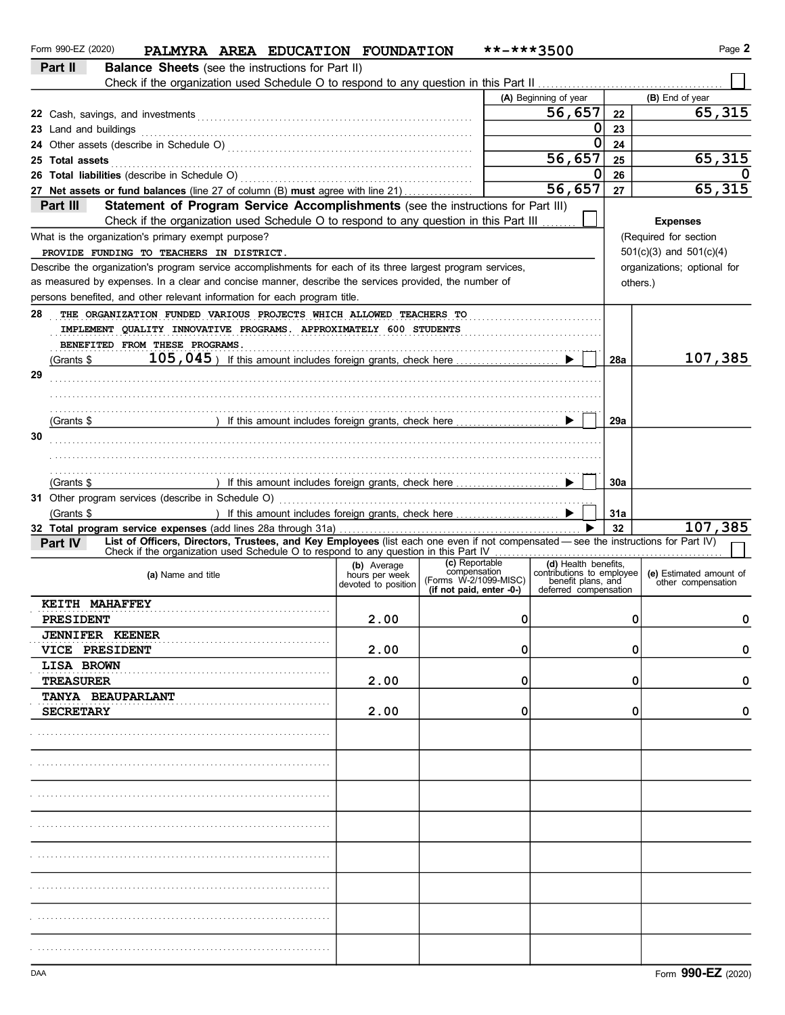| Form 990-EZ (2020)<br>PALMYRA AREA EDUCATION FOUNDATION                                                                                                                                                         |                               |                                | $******3500$                                                            |              | Page 2                      |
|-----------------------------------------------------------------------------------------------------------------------------------------------------------------------------------------------------------------|-------------------------------|--------------------------------|-------------------------------------------------------------------------|--------------|-----------------------------|
| <b>Balance Sheets</b> (see the instructions for Part II)<br>Part II                                                                                                                                             |                               |                                |                                                                         |              |                             |
| Check if the organization used Schedule O to respond to any question in this Part II                                                                                                                            |                               |                                |                                                                         |              |                             |
|                                                                                                                                                                                                                 |                               |                                | (A) Beginning of year                                                   |              | (B) End of year             |
|                                                                                                                                                                                                                 |                               |                                | $\overline{56}$ , 657 22<br>01                                          | 23           | 65,315                      |
| 23 Land and buildings                                                                                                                                                                                           |                               |                                | $\overline{0}$                                                          | 24           |                             |
| 25 Total assets                                                                                                                                                                                                 |                               |                                | 56,657                                                                  | 25           | 65,315                      |
| 26 Total liabilities (describe in Schedule O)                                                                                                                                                                   |                               |                                | 0                                                                       | 26           |                             |
| 27 Net assets or fund balances (line 27 of column (B) must agree with line 21).                                                                                                                                 |                               |                                | 56,657                                                                  | 27           | 65,315                      |
| Statement of Program Service Accomplishments (see the instructions for Part III)<br>Part III                                                                                                                    |                               |                                |                                                                         |              |                             |
| Check if the organization used Schedule O to respond to any question in this Part III                                                                                                                           |                               |                                |                                                                         |              | <b>Expenses</b>             |
| What is the organization's primary exempt purpose?                                                                                                                                                              |                               |                                |                                                                         |              | (Required for section       |
| PROVIDE FUNDING TO TEACHERS IN DISTRICT                                                                                                                                                                         |                               |                                |                                                                         |              | $501(c)(3)$ and $501(c)(4)$ |
| Describe the organization's program service accomplishments for each of its three largest program services,                                                                                                     |                               |                                |                                                                         |              | organizations; optional for |
| as measured by expenses. In a clear and concise manner, describe the services provided, the number of                                                                                                           |                               |                                |                                                                         |              | others.)                    |
| persons benefited, and other relevant information for each program title.                                                                                                                                       |                               |                                |                                                                         |              |                             |
| 28<br>THE ORGANIZATION FUNDED VARIOUS PROJECTS WHICH ALLOWED TEACHERS TO<br>IMPLEMENT QUALITY INNOVATIVE PROGRAMS. APPROXIMATELY 600 STUDENTS                                                                   |                               |                                |                                                                         |              |                             |
| BENEFITED FROM THESE PROGRAMS.                                                                                                                                                                                  |                               |                                |                                                                         |              |                             |
| 105, 045) If this amount includes foreign grants, check here<br>(Grants \$                                                                                                                                      |                               |                                |                                                                         | 28a          | 107,385                     |
| 29                                                                                                                                                                                                              |                               |                                |                                                                         |              |                             |
|                                                                                                                                                                                                                 |                               |                                |                                                                         |              |                             |
|                                                                                                                                                                                                                 |                               |                                |                                                                         |              |                             |
| ) If this amount includes foreign grants, check here<br>(Grants \$                                                                                                                                              |                               |                                |                                                                         | 29a          |                             |
| 30                                                                                                                                                                                                              |                               |                                |                                                                         |              |                             |
|                                                                                                                                                                                                                 |                               |                                |                                                                         |              |                             |
|                                                                                                                                                                                                                 |                               |                                |                                                                         |              |                             |
| (Grants \$                                                                                                                                                                                                      |                               |                                |                                                                         | 30a          |                             |
| 31 Other program services (describe in Schedule O)                                                                                                                                                              |                               |                                |                                                                         |              |                             |
| ) If this amount includes foreign grants, check here<br>(Grants \$                                                                                                                                              |                               |                                |                                                                         | 31a          | 107,385                     |
| 32 Total program service expenses (add lines 28a through 31a)<br>List of Officers, Directors, Trustees, and Key Employees (list each one even if not compensated - see the instructions for Part IV)<br>Part IV |                               |                                |                                                                         | 32           |                             |
| Check if the organization used Schedule O to respond to any question in this Part IV                                                                                                                            |                               |                                |                                                                         |              |                             |
| (a) Name and title                                                                                                                                                                                              | (b) Average<br>hours per week | (c) Reportable<br>compensation | (d) Health benefits,<br>contributions to employee<br>benefit plans, and |              | (e) Estimated amount of     |
|                                                                                                                                                                                                                 |                               | (Forms W-2/1099-MISC)          |                                                                         |              | other compensation          |
|                                                                                                                                                                                                                 | devoted to position           | (if not paid, enter -0-)       | deferred compensation                                                   |              |                             |
| KEITH MAHAFFEY                                                                                                                                                                                                  |                               |                                |                                                                         |              |                             |
| PRESIDENT                                                                                                                                                                                                       | 2.00                          | ŋ                              |                                                                         | $\mathbf{0}$ |                             |
| <b>JENNIFER KEENER</b>                                                                                                                                                                                          |                               |                                |                                                                         |              |                             |
| VICE PRESIDENT                                                                                                                                                                                                  | 2.00                          | O                              |                                                                         | $\Omega$     |                             |
| LISA BROWN                                                                                                                                                                                                      |                               | 0                              |                                                                         | $\Omega$     |                             |
| <b>TREASURER</b><br>TANYA BEAUPARLANT                                                                                                                                                                           | 2.00                          |                                |                                                                         |              |                             |
| <b>SECRETARY</b>                                                                                                                                                                                                | 2.00                          | O                              |                                                                         | $\Omega$     |                             |
|                                                                                                                                                                                                                 |                               |                                |                                                                         |              |                             |
|                                                                                                                                                                                                                 |                               |                                |                                                                         |              |                             |
|                                                                                                                                                                                                                 |                               |                                |                                                                         |              |                             |
|                                                                                                                                                                                                                 |                               |                                |                                                                         |              |                             |
|                                                                                                                                                                                                                 |                               |                                |                                                                         |              |                             |
|                                                                                                                                                                                                                 |                               |                                |                                                                         |              |                             |
|                                                                                                                                                                                                                 |                               |                                |                                                                         |              |                             |
|                                                                                                                                                                                                                 |                               |                                |                                                                         |              |                             |
|                                                                                                                                                                                                                 |                               |                                |                                                                         |              |                             |
|                                                                                                                                                                                                                 |                               |                                |                                                                         |              |                             |
|                                                                                                                                                                                                                 |                               |                                |                                                                         |              |                             |
|                                                                                                                                                                                                                 |                               |                                |                                                                         |              |                             |
|                                                                                                                                                                                                                 |                               |                                |                                                                         |              |                             |
|                                                                                                                                                                                                                 |                               |                                |                                                                         |              |                             |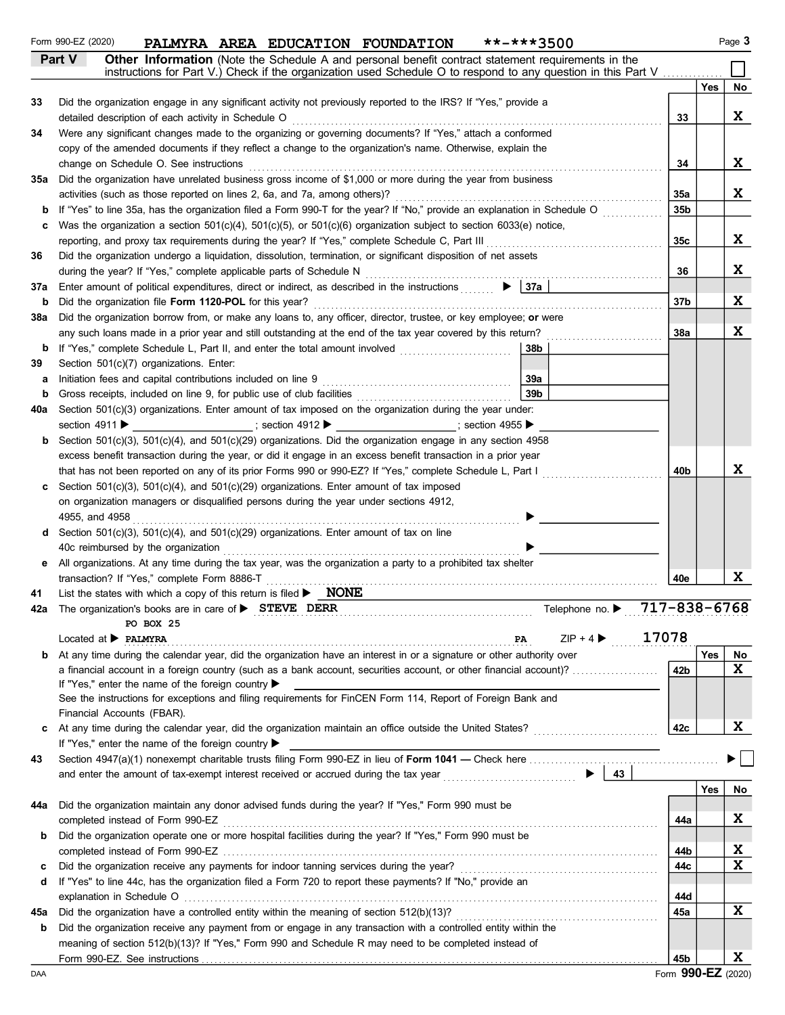|     | Form 990-EZ (2020)<br>**-***3500<br>PALMYRA AREA EDUCATION FOUNDATION<br>Part V<br><b>Other Information</b> (Note the Schedule A and personal benefit contract statement requirements in the                                                                                                                                                      |                 | Page <b>3</b>      |
|-----|---------------------------------------------------------------------------------------------------------------------------------------------------------------------------------------------------------------------------------------------------------------------------------------------------------------------------------------------------|-----------------|--------------------|
|     | instructions for Part V.) Check if the organization used Schedule O to respond to any question in this Part V                                                                                                                                                                                                                                     |                 | Yes<br>No          |
| 33  | Did the organization engage in any significant activity not previously reported to the IRS? If "Yes," provide a                                                                                                                                                                                                                                   |                 |                    |
|     | detailed description of each activity in Schedule O                                                                                                                                                                                                                                                                                               | 33              | X                  |
| 34  | Were any significant changes made to the organizing or governing documents? If "Yes," attach a conformed                                                                                                                                                                                                                                          |                 |                    |
|     | copy of the amended documents if they reflect a change to the organization's name. Otherwise, explain the<br>change on Schedule O. See instructions                                                                                                                                                                                               | 34              | X                  |
|     | 35a Did the organization have unrelated business gross income of \$1,000 or more during the year from business                                                                                                                                                                                                                                    |                 |                    |
|     | activities (such as those reported on lines 2, 6a, and 7a, among others)?                                                                                                                                                                                                                                                                         | 35a             | X                  |
|     | b If "Yes" to line 35a, has the organization filed a Form 990-T for the year? If "No," provide an explanation in Schedule O                                                                                                                                                                                                                       | 35 <sub>b</sub> |                    |
|     | c Was the organization a section $501(c)(4)$ , $501(c)(5)$ , or $501(c)(6)$ organization subject to section $6033(e)$ notice,<br>reporting, and proxy tax requirements during the year? If "Yes," complete Schedule C, Part III                                                                                                                   | 35c             | X.                 |
| 36  | Did the organization undergo a liquidation, dissolution, termination, or significant disposition of net assets                                                                                                                                                                                                                                    |                 |                    |
|     | during the year? If "Yes," complete applicable parts of Schedule N                                                                                                                                                                                                                                                                                | 36              | X.                 |
|     | 37a Enter amount of political expenditures, direct or indirect, as described in the instructions $\Box$                                                                                                                                                                                                                                           |                 |                    |
| b   | Did the organization file Form 1120-POL for this year?<br>38a Did the organization borrow from, or make any loans to, any officer, director, trustee, or key employee; or were                                                                                                                                                                    | 37b             |                    |
|     | any such loans made in a prior year and still outstanding at the end of the tax year covered by this return?                                                                                                                                                                                                                                      | 38а             | X                  |
|     | b If "Yes," complete Schedule L, Part II, and enter the total amount involved<br>38b                                                                                                                                                                                                                                                              |                 |                    |
| 39  | Section 501(c)(7) organizations. Enter:                                                                                                                                                                                                                                                                                                           |                 |                    |
| b   | Initiation fees and capital contributions included on line 9<br>  39a<br>39b                                                                                                                                                                                                                                                                      |                 |                    |
|     | 40a Section 501(c)(3) organizations. Enter amount of tax imposed on the organization during the year under:                                                                                                                                                                                                                                       |                 |                    |
|     | section 4911 ▶<br>________________________; section 4912 ▶ __                                                                                                                                                                                                                                                                                     |                 |                    |
|     | <b>b</b> Section 501(c)(3), 501(c)(4), and 501(c)(29) organizations. Did the organization engage in any section 4958<br>excess benefit transaction during the year, or did it engage in an excess benefit transaction in a prior year                                                                                                             |                 |                    |
|     | that has not been reported on any of its prior Forms 990 or 990-EZ? If "Yes," complete Schedule L, Part I                                                                                                                                                                                                                                         | 40b             | X                  |
|     | c Section 501(c)(3), 501(c)(4), and 501(c)(29) organizations. Enter amount of tax imposed                                                                                                                                                                                                                                                         |                 |                    |
|     | on organization managers or disqualified persons during the year under sections 4912,                                                                                                                                                                                                                                                             |                 |                    |
|     | $\mathcal{L}$ . The contract of the contract of the contract of the contract of the contract of the contract of the contract of the contract of the contract of the contract of the contract of the contract of the contract of th<br>4955, and 4958<br>d Section 501(c)(3), 501(c)(4), and 501(c)(29) organizations. Enter amount of tax on line |                 |                    |
|     | 40c reimbursed by the organization                                                                                                                                                                                                                                                                                                                |                 |                    |
|     | e All organizations. At any time during the tax year, was the organization a party to a prohibited tax shelter                                                                                                                                                                                                                                    |                 |                    |
| 41  | transaction? If "Yes," complete Form 8886-T<br>List the states with which a copy of this return is filed $\triangleright$ <b>NONE</b>                                                                                                                                                                                                             | 40e             | X                  |
|     | Telephone no. ▶<br>42a The organization's books are in care of STEVE DERR<br>STEVE DERR                                                                                                                                                                                                                                                           | 717-838-6768    |                    |
|     | PO BOX 25                                                                                                                                                                                                                                                                                                                                         |                 |                    |
|     | $ZIP + 4$<br>$Localed$ at $\triangleright$ PALMYRA<br>PA                                                                                                                                                                                                                                                                                          | 17078           |                    |
|     | <b>b</b> At any time during the calendar year, did the organization have an interest in or a signature or other authority over<br>a financial account in a foreign country (such as a bank account, securities account, or other financial account)?                                                                                              | l 42b           | Yes   No<br>X      |
|     | If "Yes," enter the name of the foreign country $\blacktriangleright$                                                                                                                                                                                                                                                                             |                 |                    |
|     | See the instructions for exceptions and filing requirements for FinCEN Form 114, Report of Foreign Bank and                                                                                                                                                                                                                                       |                 |                    |
|     | Financial Accounts (FBAR).                                                                                                                                                                                                                                                                                                                        | 42c             | X                  |
|     | If "Yes," enter the name of the foreign country ▶                                                                                                                                                                                                                                                                                                 |                 |                    |
| 43  |                                                                                                                                                                                                                                                                                                                                                   |                 |                    |
|     |                                                                                                                                                                                                                                                                                                                                                   |                 | Yes  <br><b>No</b> |
| 44а | Did the organization maintain any donor advised funds during the year? If "Yes," Form 990 must be                                                                                                                                                                                                                                                 |                 |                    |
|     | completed instead of Form 990-EZ                                                                                                                                                                                                                                                                                                                  | 44a             | x                  |
|     | <b>b</b> Did the organization operate one or more hospital facilities during the year? If "Yes," Form 990 must be                                                                                                                                                                                                                                 |                 |                    |
|     |                                                                                                                                                                                                                                                                                                                                                   | 44b<br>44c      | X<br>X             |
|     | d If "Yes" to line 44c, has the organization filed a Form 720 to report these payments? If "No," provide an                                                                                                                                                                                                                                       |                 |                    |
|     |                                                                                                                                                                                                                                                                                                                                                   | 44d             |                    |
|     | 45a Did the organization have a controlled entity within the meaning of section 512(b)(13)?                                                                                                                                                                                                                                                       | 45a             | $\mathbf{x}$       |
|     | <b>b</b> Did the organization receive any payment from or engage in any transaction with a controlled entity within the<br>meaning of section 512(b)(13)? If "Yes," Form 990 and Schedule R may need to be completed instead of                                                                                                                   |                 |                    |
|     |                                                                                                                                                                                                                                                                                                                                                   | 45b             | $\mathbf{x}$       |

### Page 3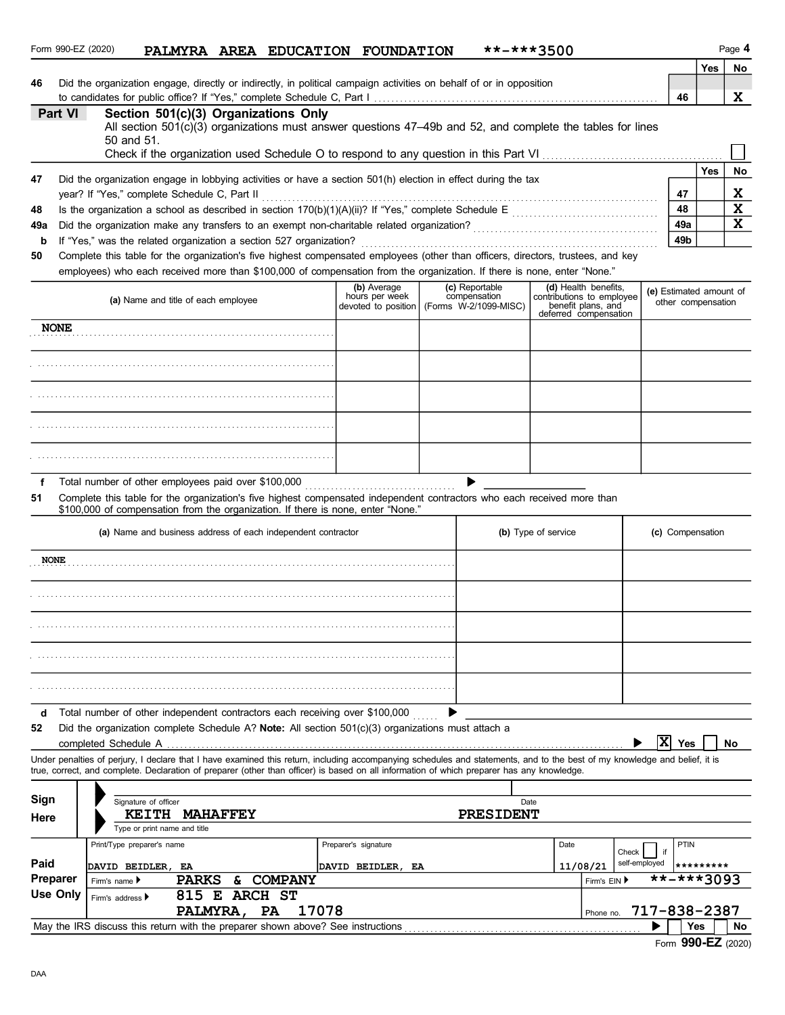| Form 990-EZ (2020) |                                                                                                                                                                                                                                                                                                                          |                               |                                           |                                                   |               |                                          |                                               |
|--------------------|--------------------------------------------------------------------------------------------------------------------------------------------------------------------------------------------------------------------------------------------------------------------------------------------------------------------------|-------------------------------|-------------------------------------------|---------------------------------------------------|---------------|------------------------------------------|-----------------------------------------------|
|                    |                                                                                                                                                                                                                                                                                                                          |                               |                                           |                                                   |               |                                          |                                               |
|                    |                                                                                                                                                                                                                                                                                                                          |                               |                                           |                                                   |               |                                          |                                               |
|                    |                                                                                                                                                                                                                                                                                                                          |                               |                                           |                                                   |               |                                          |                                               |
|                    | PALMYRA AREA EDUCATION FOUNDATION                                                                                                                                                                                                                                                                                        |                               |                                           | $******3500$                                      |               |                                          | Page <b>4</b>                                 |
| 46                 | Did the organization engage, directly or indirectly, in political campaign activities on behalf of or in opposition                                                                                                                                                                                                      |                               |                                           |                                                   |               |                                          | Yes<br><b>No</b>                              |
|                    |                                                                                                                                                                                                                                                                                                                          |                               |                                           |                                                   |               | 46                                       | X                                             |
| Part VI            | Section 501(c)(3) Organizations Only<br>All section $501(c)(3)$ organizations must answer questions $47-49b$ and $52$ , and complete the tables for lines<br>50 and 51.                                                                                                                                                  |                               |                                           |                                                   |               |                                          |                                               |
|                    |                                                                                                                                                                                                                                                                                                                          |                               |                                           |                                                   |               |                                          |                                               |
| 47                 | Did the organization engage in lobbying activities or have a section 501(h) election in effect during the tax<br>year? If "Yes," complete Schedule C, Part II                                                                                                                                                            |                               |                                           |                                                   |               | 47                                       | Yes<br>No<br>$\mathbf x$                      |
| 48                 | Is the organization a school as described in section $170(b)(1)(A)(ii)$ ? If "Yes," complete Schedule E                                                                                                                                                                                                                  |                               |                                           |                                                   |               | 48                                       | $\mathbf x$                                   |
| 49а<br>b           | If "Yes," was the related organization a section 527 organization?                                                                                                                                                                                                                                                       |                               |                                           |                                                   |               | 49a<br>49 <sub>b</sub>                   | X                                             |
| 50                 | Complete this table for the organization's five highest compensated employees (other than officers, directors, trustees, and key<br>employees) who each received more than \$100,000 of compensation from the organization. If there is none, enter "None."                                                              |                               |                                           |                                                   |               |                                          |                                               |
|                    | (a) Name and title of each employee                                                                                                                                                                                                                                                                                      | (b) Average<br>hours per week | (c) Reportable<br>compensation            | (d) Health benefits,<br>contributions to employee |               |                                          | (e) Estimated amount of<br>other compensation |
| <b>NONE</b>        |                                                                                                                                                                                                                                                                                                                          |                               | devoted to position (Forms W-2/1099-MISC) | benefit plans, and<br>deferred compensation       |               |                                          |                                               |
|                    |                                                                                                                                                                                                                                                                                                                          |                               |                                           |                                                   |               |                                          |                                               |
|                    |                                                                                                                                                                                                                                                                                                                          |                               |                                           |                                                   |               |                                          |                                               |
|                    |                                                                                                                                                                                                                                                                                                                          |                               |                                           |                                                   |               |                                          |                                               |
|                    |                                                                                                                                                                                                                                                                                                                          |                               |                                           |                                                   |               |                                          |                                               |
|                    |                                                                                                                                                                                                                                                                                                                          |                               |                                           |                                                   |               |                                          |                                               |
| f<br>51            | Total number of other employees paid over \$100,000<br>Complete this table for the organization's five highest compensated independent contractors who each received more than                                                                                                                                           |                               | ▶                                         |                                                   |               |                                          |                                               |
|                    | \$100,000 of compensation from the organization. If there is none, enter "None."                                                                                                                                                                                                                                         |                               |                                           |                                                   |               |                                          |                                               |
|                    | (a) Name and business address of each independent contractor                                                                                                                                                                                                                                                             |                               |                                           | (b) Type of service                               |               | (c) Compensation                         |                                               |
| <b>NONE</b>        |                                                                                                                                                                                                                                                                                                                          |                               |                                           |                                                   |               |                                          |                                               |
|                    |                                                                                                                                                                                                                                                                                                                          |                               |                                           |                                                   |               |                                          |                                               |
|                    |                                                                                                                                                                                                                                                                                                                          |                               |                                           |                                                   |               |                                          |                                               |
|                    |                                                                                                                                                                                                                                                                                                                          |                               |                                           |                                                   |               |                                          |                                               |
|                    |                                                                                                                                                                                                                                                                                                                          |                               |                                           |                                                   |               |                                          |                                               |
|                    | d Total number of other independent contractors each receiving over \$100,000                                                                                                                                                                                                                                            |                               | ▶                                         |                                                   |               |                                          |                                               |
| 52                 | Did the organization complete Schedule A? Note: All section $501(c)(3)$ organizations must attach a                                                                                                                                                                                                                      |                               |                                           |                                                   |               | $\blacktriangleright$ $\overline{X}$ Yes | No                                            |
|                    | Under penalties of perjury, I declare that I have examined this return, including accompanying schedules and statements, and to the best of my knowledge and belief, it is<br>true, correct, and complete. Declaration of preparer (other than officer) is based on all information of which preparer has any knowledge. |                               |                                           |                                                   |               |                                          |                                               |
| Sign               | Signature of officer                                                                                                                                                                                                                                                                                                     |                               |                                           | Date                                              |               |                                          |                                               |
| Here               | KEITH MAHAFFEY<br>Type or print name and title                                                                                                                                                                                                                                                                           |                               | PRESIDENT                                 |                                                   |               |                                          |                                               |
|                    | Print/Type preparer's name                                                                                                                                                                                                                                                                                               | Preparer's signature          |                                           | Date                                              | Check         | PTIN                                     |                                               |
| Paid               | DAVID BEIDLER, EA<br>PARKS & COMPANY<br>Firm's name $\blacktriangleright$                                                                                                                                                                                                                                                | DAVID BEIDLER, EA             |                                           | 11/08/21<br>Firm's EIN                            | self-employed |                                          | *********<br>$***$ $***$ 3093<br>----         |
| <b>Preparer</b>    | 815 E ARCH ST<br>Firm's address ▶                                                                                                                                                                                                                                                                                        |                               |                                           |                                                   |               |                                          |                                               |
| Use Only           | PALMYRA, PA 17078                                                                                                                                                                                                                                                                                                        |                               |                                           |                                                   |               |                                          | Phone no. $717 - 838 - 2387$                  |

Form 990-EZ (2020)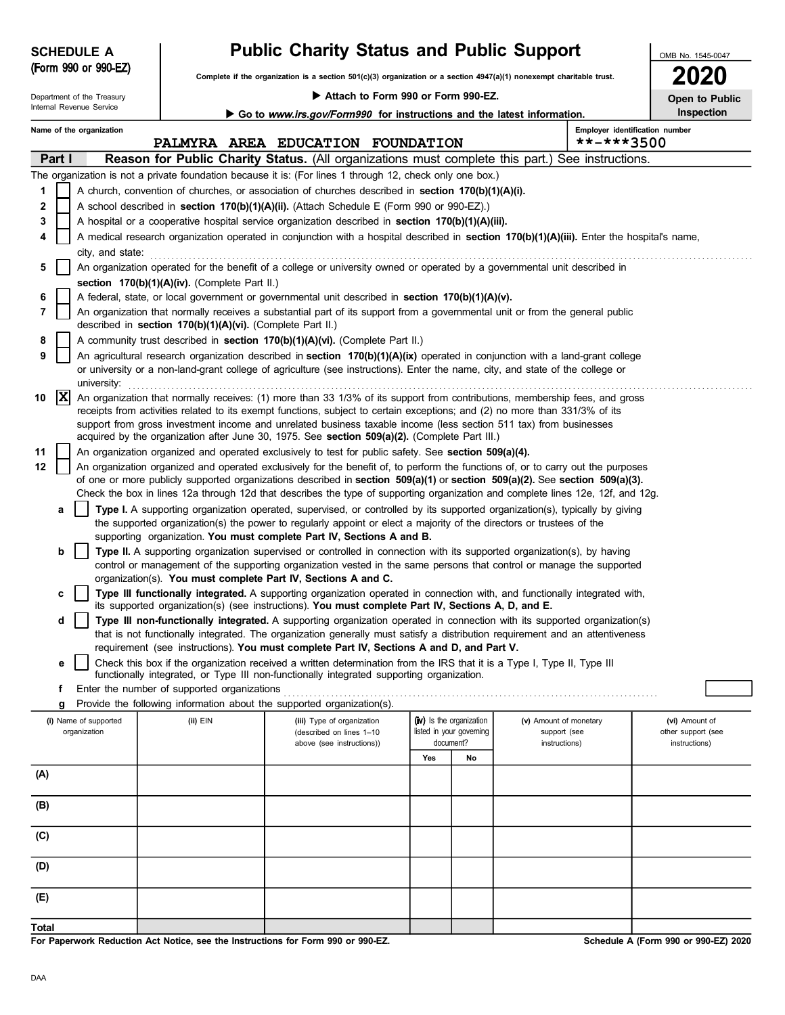| <b>SCHEDULE A</b>                  |                                                            | <b>Public Charity Status and Public Support</b>                                                                                                                                                                                                                 |                          |                        | OMB No. 1545-0047              |
|------------------------------------|------------------------------------------------------------|-----------------------------------------------------------------------------------------------------------------------------------------------------------------------------------------------------------------------------------------------------------------|--------------------------|------------------------|--------------------------------|
| (Form 990 or 990-EZ)               |                                                            | Complete if the organization is a section $501(c)(3)$ organization or a section $4947(a)(1)$ nonexempt charitable trust.                                                                                                                                        |                          |                        | <b>2020</b>                    |
| Department of the Treasury         |                                                            | Attach to Form 990 or Form 990-EZ.                                                                                                                                                                                                                              |                          |                        | Open to Public                 |
| Internal Revenue Service           |                                                            | Go to www.irs.gov/Form990 for instructions and the latest information.                                                                                                                                                                                          |                          |                        | Inspection                     |
| Name of the organization           |                                                            |                                                                                                                                                                                                                                                                 |                          |                        | Employer identification number |
| Part I                             |                                                            | PALMYRA AREA EDUCATION FOUNDATION<br>Reason for Public Charity Status. (All organizations must complete this part.) See instructions.                                                                                                                           |                          | $******3500$           |                                |
|                                    |                                                            | The organization is not a private foundation because it is: (For lines 1 through 12, check only one box.)                                                                                                                                                       |                          |                        |                                |
| 1                                  |                                                            | A church, convention of churches, or association of churches described in section 170(b)(1)(A)(i).                                                                                                                                                              |                          |                        |                                |
| $\mathbf{2}$                       |                                                            | A school described in section 170(b)(1)(A)(ii). (Attach Schedule E (Form 990 or 990-EZ).)                                                                                                                                                                       |                          |                        |                                |
| 3                                  |                                                            | A hospital or a cooperative hospital service organization described in section 170(b)(1)(A)(iii).                                                                                                                                                               |                          |                        |                                |
| 4                                  |                                                            | A medical research organization operated in conjunction with a hospital described in section 170(b)(1)(A)(iii). Enter the hospital's name,                                                                                                                      |                          |                        |                                |
| city, and state:<br>5 <sub>1</sub> |                                                            | An organization operated for the benefit of a college or university owned or operated by a governmental unit described in                                                                                                                                       |                          |                        |                                |
|                                    | section 170(b)(1)(A)(iv). (Complete Part II.)              |                                                                                                                                                                                                                                                                 |                          |                        |                                |
| 6                                  |                                                            | A federal, state, or local government or governmental unit described in section 170(b)(1)(A)(v).                                                                                                                                                                |                          |                        |                                |
| $7^{\circ}$                        | described in section 170(b)(1)(A)(vi). (Complete Part II.) | An organization that normally receives a substantial part of its support from a governmental unit or from the general public                                                                                                                                    |                          |                        |                                |
| 8                                  |                                                            | A community trust described in section 170(b)(1)(A)(vi). (Complete Part II.)                                                                                                                                                                                    |                          |                        |                                |
| 9                                  |                                                            | An agricultural research organization described in section 170(b)(1)(A)(ix) operated in conjunction with a land-grant college                                                                                                                                   |                          |                        |                                |
| university:                        |                                                            | or university or a non-land-grant college of agriculture (see instructions). Enter the name, city, and state of the college or                                                                                                                                  |                          |                        |                                |
| 10 $ X $                           |                                                            | An organization that normally receives: (1) more than 33 1/3% of its support from contributions, membership fees, and gross                                                                                                                                     |                          |                        |                                |
|                                    |                                                            | receipts from activities related to its exempt functions, subject to certain exceptions; and (2) no more than 331/3% of its<br>support from gross investment income and unrelated business taxable income (less section 511 tax) from businesses                |                          |                        |                                |
|                                    |                                                            | acquired by the organization after June 30, 1975. See section 509(a)(2). (Complete Part III.)                                                                                                                                                                   |                          |                        |                                |
| 11                                 |                                                            | An organization organized and operated exclusively to test for public safety. See section 509(a)(4).                                                                                                                                                            |                          |                        |                                |
| 12                                 |                                                            | An organization organized and operated exclusively for the benefit of, to perform the functions of, or to carry out the purposes<br>of one or more publicly supported organizations described in section 509(a)(1) or section 509(a)(2). See section 509(a)(3). |                          |                        |                                |
|                                    |                                                            | Check the box in lines 12a through 12d that describes the type of supporting organization and complete lines 12e, 12f, and 12g.                                                                                                                                 |                          |                        |                                |
| a                                  |                                                            | Type I. A supporting organization operated, supervised, or controlled by its supported organization(s), typically by giving                                                                                                                                     |                          |                        |                                |
|                                    |                                                            | the supported organization(s) the power to regularly appoint or elect a majority of the directors or trustees of the<br>supporting organization. You must complete Part IV, Sections A and B.                                                                   |                          |                        |                                |
| b                                  |                                                            | Type II. A supporting organization supervised or controlled in connection with its supported organization(s), by having                                                                                                                                         |                          |                        |                                |
|                                    |                                                            | control or management of the supporting organization vested in the same persons that control or manage the supported                                                                                                                                            |                          |                        |                                |
|                                    |                                                            | organization(s). You must complete Part IV, Sections A and C.                                                                                                                                                                                                   |                          |                        |                                |
|                                    |                                                            | Type III functionally integrated. A supporting organization operated in connection with, and functionally integrated with,<br>its supported organization(s) (see instructions). You must complete Part IV, Sections A, D, and E.                                |                          |                        |                                |
| d                                  |                                                            | Type III non-functionally integrated. A supporting organization operated in connection with its supported organization(s)                                                                                                                                       |                          |                        |                                |
|                                    |                                                            | that is not functionally integrated. The organization generally must satisfy a distribution requirement and an attentiveness<br>requirement (see instructions). You must complete Part IV, Sections A and D, and Part V.                                        |                          |                        |                                |
|                                    |                                                            | Check this box if the organization received a written determination from the IRS that it is a Type I, Type II, Type III                                                                                                                                         |                          |                        |                                |
|                                    |                                                            | functionally integrated, or Type III non-functionally integrated supporting organization.                                                                                                                                                                       |                          |                        |                                |
| g                                  | Enter the number of supported organizations                | Provide the following information about the supported organization(s).                                                                                                                                                                                          |                          |                        |                                |
| (i) Name of supported              | $(ii)$ EIN                                                 | (iii) Type of organization                                                                                                                                                                                                                                      | (iv) Is the organization | (v) Amount of monetary | (vi) Amount of                 |
| organization                       |                                                            | (described on lines 1-10<br>above (see instructions))                                                                                                                                                                                                           | listed in your governing | support (see           | other support (see             |
|                                    |                                                            |                                                                                                                                                                                                                                                                 | document?<br>Yes<br>No   | instructions)          | instructions)                  |
| (A)                                |                                                            |                                                                                                                                                                                                                                                                 |                          |                        |                                |
|                                    |                                                            |                                                                                                                                                                                                                                                                 |                          |                        |                                |
| (B)                                |                                                            |                                                                                                                                                                                                                                                                 |                          |                        |                                |
| (C)                                |                                                            |                                                                                                                                                                                                                                                                 |                          |                        |                                |
|                                    |                                                            |                                                                                                                                                                                                                                                                 |                          |                        |                                |
| (D)                                |                                                            |                                                                                                                                                                                                                                                                 |                          |                        |                                |
|                                    |                                                            |                                                                                                                                                                                                                                                                 |                          |                        |                                |
| (E)                                |                                                            |                                                                                                                                                                                                                                                                 |                          |                        |                                |
| <b>Total</b>                       |                                                            |                                                                                                                                                                                                                                                                 |                          |                        |                                |

For Paperwork Reduction Act Notice, see the Instructions for Form 990 or 990-EZ.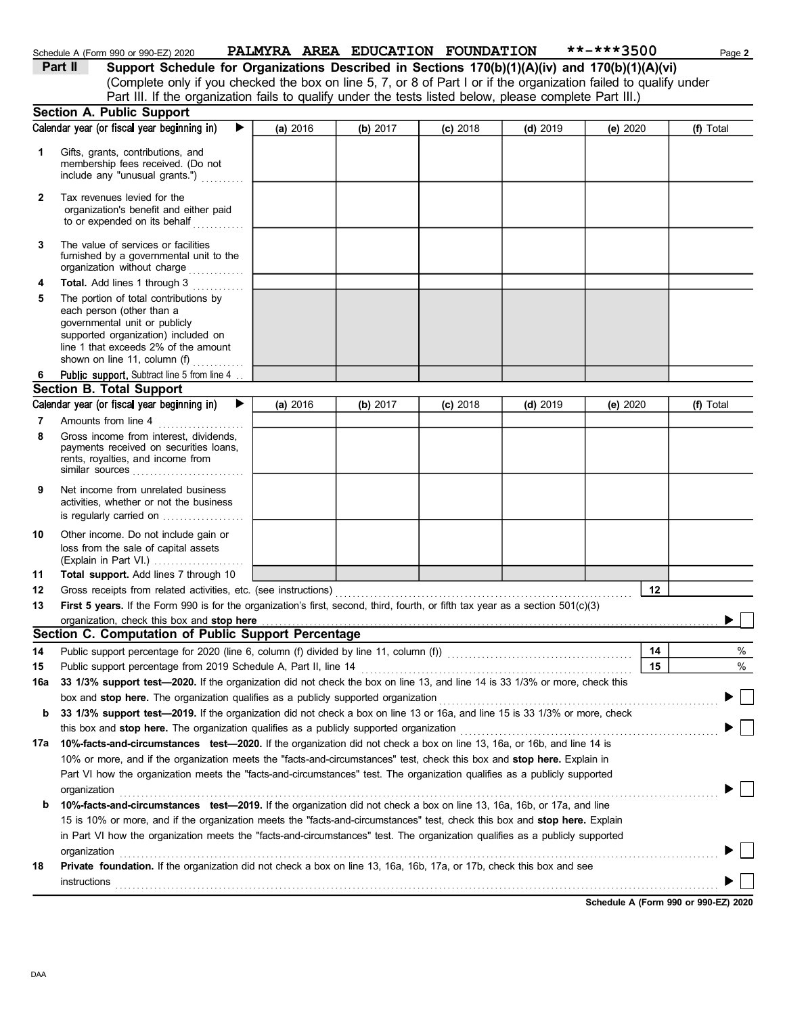|              | Schedule A (Form 990 or 990-EZ) 2020                                                                                                                                                                                                                                                                                                                              |          |            | PALMYRA AREA EDUCATION FOUNDATION |            | $******3500$ | Page 2    |
|--------------|-------------------------------------------------------------------------------------------------------------------------------------------------------------------------------------------------------------------------------------------------------------------------------------------------------------------------------------------------------------------|----------|------------|-----------------------------------|------------|--------------|-----------|
|              | Support Schedule for Organizations Described in Sections 170(b)(1)(A)(iv) and 170(b)(1)(A)(vi)<br>Part II                                                                                                                                                                                                                                                         |          |            |                                   |            |              |           |
|              | (Complete only if you checked the box on line 5, 7, or 8 of Part I or if the organization failed to qualify under<br>Part III. If the organization fails to qualify under the tests listed below, please complete Part III.)                                                                                                                                      |          |            |                                   |            |              |           |
|              | <b>Section A. Public Support</b>                                                                                                                                                                                                                                                                                                                                  |          |            |                                   |            |              |           |
|              | Calendar year (or fiscal year beginning in)<br>▶                                                                                                                                                                                                                                                                                                                  | (a) 2016 | (b) $2017$ | $(c)$ 2018                        | $(d)$ 2019 | (e) 2020     | (f) Total |
| 1.           | Gifts, grants, contributions, and                                                                                                                                                                                                                                                                                                                                 |          |            |                                   |            |              |           |
|              | membership fees received. (Do not                                                                                                                                                                                                                                                                                                                                 |          |            |                                   |            |              |           |
|              | include any "unusual grants.")                                                                                                                                                                                                                                                                                                                                    |          |            |                                   |            |              |           |
| $\mathbf{2}$ | Tax revenues levied for the<br>organization's benefit and either paid                                                                                                                                                                                                                                                                                             |          |            |                                   |            |              |           |
|              | to or expended on its behalf<br>.                                                                                                                                                                                                                                                                                                                                 |          |            |                                   |            |              |           |
| 3            | The value of services or facilities                                                                                                                                                                                                                                                                                                                               |          |            |                                   |            |              |           |
|              | furnished by a governmental unit to the<br>organization without charge                                                                                                                                                                                                                                                                                            |          |            |                                   |            |              |           |
|              | .<br>Total. Add lines 1 through 3                                                                                                                                                                                                                                                                                                                                 |          |            |                                   |            |              |           |
|              | The portion of total contributions by                                                                                                                                                                                                                                                                                                                             |          |            |                                   |            |              |           |
|              | each person (other than a<br>governmental unit or publicly                                                                                                                                                                                                                                                                                                        |          |            |                                   |            |              |           |
|              | supported organization) included on                                                                                                                                                                                                                                                                                                                               |          |            |                                   |            |              |           |
|              | line 1 that exceeds 2% of the amount<br>shown on line 11, column (f)                                                                                                                                                                                                                                                                                              |          |            |                                   |            |              |           |
| 6            | Public support. Subtract line 5 from line 4                                                                                                                                                                                                                                                                                                                       |          |            |                                   |            |              |           |
|              | <b>Section B. Total Support</b>                                                                                                                                                                                                                                                                                                                                   |          |            |                                   |            |              |           |
|              | Calendar year (or fiscal year beginning in) $\blacktriangleright$                                                                                                                                                                                                                                                                                                 | (a) 2016 | (b) 2017   | $(c)$ 2018                        | $(d)$ 2019 | (e) $2020$   | (f) Total |
| 7<br>8       | Amounts from line 4<br>Gross income from interest, dividends,                                                                                                                                                                                                                                                                                                     |          |            |                                   |            |              |           |
|              | payments received on securities loans,                                                                                                                                                                                                                                                                                                                            |          |            |                                   |            |              |           |
|              | rents, royalties, and income from<br>similar sources                                                                                                                                                                                                                                                                                                              |          |            |                                   |            |              |           |
| 9            | Net income from unrelated business                                                                                                                                                                                                                                                                                                                                |          |            |                                   |            |              |           |
|              | activities, whether or not the business                                                                                                                                                                                                                                                                                                                           |          |            |                                   |            |              |           |
|              | is regularly carried on                                                                                                                                                                                                                                                                                                                                           |          |            |                                   |            |              |           |
| 10           | Other income. Do not include gain or<br>loss from the sale of capital assets                                                                                                                                                                                                                                                                                      |          |            |                                   |            |              |           |
|              | (Explain in Part VI.)                                                                                                                                                                                                                                                                                                                                             |          |            |                                   |            |              |           |
| 11           | Total support. Add lines 7 through 10                                                                                                                                                                                                                                                                                                                             |          |            |                                   |            |              |           |
| 12           |                                                                                                                                                                                                                                                                                                                                                                   |          |            |                                   |            | 12           |           |
| 13           | First 5 years. If the Form 990 is for the organization's first, second, third, fourth, or fifth tax year as a section 501(c)(3)<br>organization, check this box and stop here with the content of the content of the content of the content of the content of the content of the content of the content of the content of the content of the content of the conte |          |            |                                   |            |              |           |
|              | Section C. Computation of Public Support Percentage                                                                                                                                                                                                                                                                                                               |          |            |                                   |            |              |           |
| 14           | Public support percentage for 2020 (line 6, column (f) divided by line 11, column (f)) [[[[[[[[[[[[[[[[[[[[[[                                                                                                                                                                                                                                                     |          |            |                                   |            | 14           | %         |
| 15           |                                                                                                                                                                                                                                                                                                                                                                   |          |            |                                   |            | 15           | %         |
| 16a          | 33 1/3% support test-2020. If the organization did not check the box on line 13, and line 14 is 33 1/3% or more, check this                                                                                                                                                                                                                                       |          |            |                                   |            |              |           |
|              | box and stop here. The organization qualifies as a publicly supported organization <b>conserved</b> conserved conserved to the organization<br>b 33 1/3% support test-2019. If the organization did not check a box on line 13 or 16a, and line 15 is 33 1/3% or more, check                                                                                      |          |            |                                   |            |              |           |
|              | this box and stop here. The organization qualifies as a publicly supported organization                                                                                                                                                                                                                                                                           |          |            |                                   |            |              |           |
|              | 17a 10%-facts-and-circumstances test-2020. If the organization did not check a box on line 13, 16a, or 16b, and line 14 is                                                                                                                                                                                                                                        |          |            |                                   |            |              |           |
|              | 10% or more, and if the organization meets the "facts-and-circumstances" test, check this box and stop here. Explain in                                                                                                                                                                                                                                           |          |            |                                   |            |              |           |
|              | Part VI how the organization meets the "facts-and-circumstances" test. The organization qualifies as a publicly supported<br>organization                                                                                                                                                                                                                         |          |            |                                   |            |              |           |
|              |                                                                                                                                                                                                                                                                                                                                                                   |          |            |                                   |            |              |           |

|--|

% %

| 10  | Other income. Do not include gain or                                                                                                                                                                                           |  |  |    |                                |
|-----|--------------------------------------------------------------------------------------------------------------------------------------------------------------------------------------------------------------------------------|--|--|----|--------------------------------|
|     | loss from the sale of capital assets                                                                                                                                                                                           |  |  |    |                                |
|     | (Explain in Part VI.)                                                                                                                                                                                                          |  |  |    |                                |
| 11  | Total support. Add lines 7 through 10                                                                                                                                                                                          |  |  |    |                                |
| 12  |                                                                                                                                                                                                                                |  |  | 12 |                                |
| 13  | First 5 years. If the Form 990 is for the organization's first, second, third, fourth, or fifth tax year as a section 501(c)(3)                                                                                                |  |  |    |                                |
|     | organization, check this box and stop here manufactured and content to the state of the state of the state of the state of the state of the state of the state of the state of the state of the state of the state of the stat |  |  |    |                                |
|     | Section C. Computation of Public Support Percentage                                                                                                                                                                            |  |  |    |                                |
| 14  | Public support percentage for 2020 (line 6, column (f) divided by line 11, column (f)) [[[[[[[[[[[[[                                                                                                                           |  |  | 14 | $\%$                           |
| 15  |                                                                                                                                                                                                                                |  |  | 15 | %                              |
| 16a | 33 1/3% support test-2020. If the organization did not check the box on line 13, and line 14 is 33 1/3% or more, check this                                                                                                    |  |  |    |                                |
|     | box and stop here. The organization qualifies as a publicly supported organization                                                                                                                                             |  |  |    | $\blacktriangleright \Box$     |
| b   | 33 1/3% support test—2019. If the organization did not check a box on line 13 or 16a, and line 15 is 33 1/3% or more, check                                                                                                    |  |  |    |                                |
|     | this box and stop here. The organization qualifies as a publicly supported organization                                                                                                                                        |  |  |    | $\blacktriangleright \Box$     |
|     | 17a 10%-facts-and-circumstances test-2020. If the organization did not check a box on line 13, 16a, or 16b, and line 14 is                                                                                                     |  |  |    |                                |
|     | 10% or more, and if the organization meets the "facts-and-circumstances" test, check this box and stop here. Explain in                                                                                                        |  |  |    |                                |
|     | Part VI how the organization meets the "facts-and-circumstances" test. The organization qualifies as a publicly supported                                                                                                      |  |  |    |                                |
|     | organization                                                                                                                                                                                                                   |  |  |    | $\blacktriangleright \Box$     |
|     | 10%-facts-and-circumstances test-2019. If the organization did not check a box on line 13, 16a, 16b, or 17a, and line                                                                                                          |  |  |    |                                |
|     | 15 is 10% or more, and if the organization meets the "facts-and-circumstances" test, check this box and stop here. Explain                                                                                                     |  |  |    |                                |
|     | in Part VI how the organization meets the "facts-and-circumstances" test. The organization qualifies as a publicly supported                                                                                                   |  |  |    |                                |
|     | organization                                                                                                                                                                                                                   |  |  |    | $\blacktriangleright$ $\vdash$ |
| 18  | Private foundation. If the organization did not check a box on line 13, 16a, 16b, 17a, or 17b, check this box and see                                                                                                          |  |  |    |                                |
|     | instructions                                                                                                                                                                                                                   |  |  |    | $\blacktriangleright$          |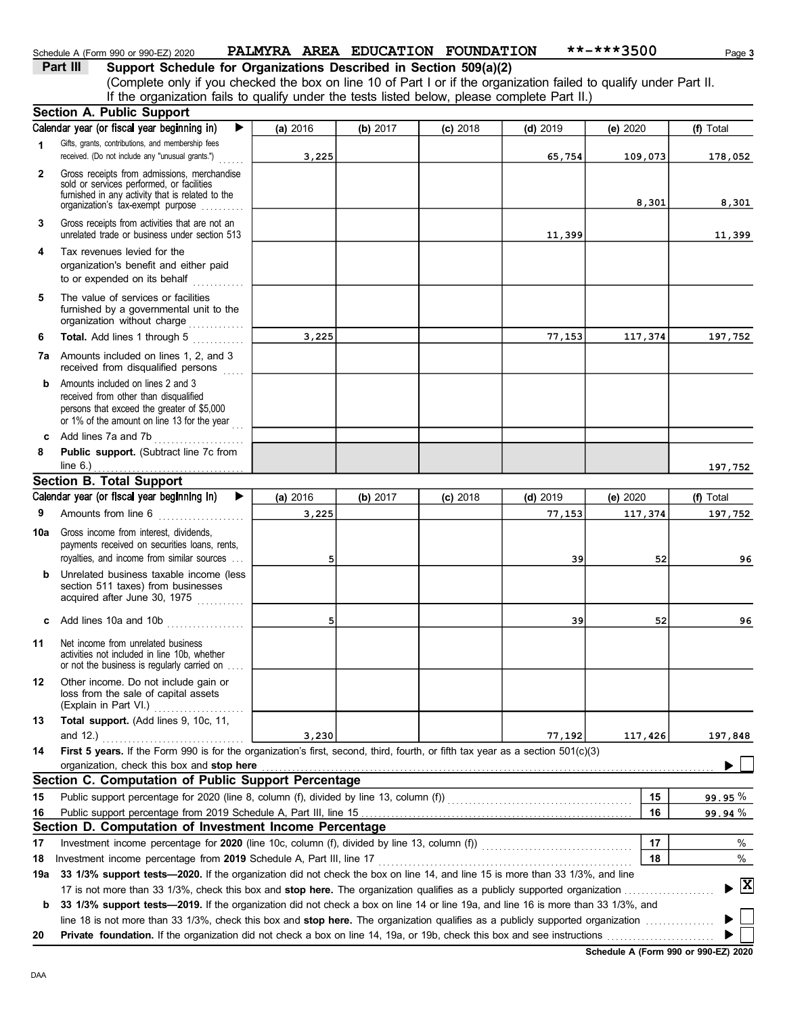|                 | Schedule A (Form 990 or 990-EZ) 2020<br>Part III<br>Support Schedule for Organizations Described in Section 509(a)(2)<br>(Complete only if you checked the box on line 10 of Part I or if the organization failed to qualify under Part II.                                   | PALMYRA AREA EDUCATION FOUNDATION |            |            |            | **-***3500               | Page 3                                 |
|-----------------|-------------------------------------------------------------------------------------------------------------------------------------------------------------------------------------------------------------------------------------------------------------------------------|-----------------------------------|------------|------------|------------|--------------------------|----------------------------------------|
|                 | If the organization fails to qualify under the tests listed below, please complete Part II.)<br><b>Section A. Public Support</b>                                                                                                                                              |                                   |            |            |            |                          |                                        |
|                 | Calendar year (or fiscal year beginning in)<br>$\blacktriangleright$                                                                                                                                                                                                          | (a) 2016                          | (b) $2017$ | $(c)$ 2018 | $(d)$ 2019 | (e) 2020                 | (f) Total                              |
| $\mathbf{2}$    | 1 Gifts, grants, contributions, and membership fees<br>received. (Do not include any "unusual grants.")<br>Gross receipts from admissions, merchandise                                                                                                                        | 3,225                             |            |            | 65,754     | 109,073                  | 178,052                                |
|                 | sold or services performed, or facilities<br>furnished in any activity that is related to the<br>organization's tax-exempt purpose                                                                                                                                            |                                   |            |            |            | 8,301                    | 8,301                                  |
| 3               | Gross receipts from activities that are not an<br>unrelated trade or business under section 513                                                                                                                                                                               |                                   |            |            | 11,399     |                          | 11,399                                 |
| 4               | Tax revenues levied for the<br>organization's benefit and either paid<br>to or expended on its behalf                                                                                                                                                                         |                                   |            |            |            |                          |                                        |
| 5               | The value of services or facilities<br>furnished by a governmental unit to the<br>organization without charge                                                                                                                                                                 |                                   |            |            |            |                          |                                        |
| 6               | Total. Add lines 1 through 5                                                                                                                                                                                                                                                  | 3,225                             |            |            | 77,153     | 117,374                  | 197,752                                |
|                 | <b>7a</b> Amounts included on lines 1, 2, and 3<br>received from disqualified persons                                                                                                                                                                                         |                                   |            |            |            |                          |                                        |
|                 | <b>b</b> Amounts included on lines 2 and 3<br>received from other than disqualified<br>persons that exceed the greater of \$5,000<br>or 1% of the amount on line 13 for the year                                                                                              |                                   |            |            |            |                          |                                        |
| 8               | c Add lines 7a and 7b $\ldots$<br>Public support. (Subtract line 7c from<br>line 6.) $\ldots$ $\ldots$ $\ldots$ $\ldots$ $\ldots$ $\ldots$                                                                                                                                    |                                   |            |            |            |                          | 197,752                                |
|                 | Section B. Total Support                                                                                                                                                                                                                                                      |                                   |            |            |            |                          |                                        |
|                 | Calendar year (or fiscal year beginning in) $\blacktriangleright$                                                                                                                                                                                                             | (a) 2016                          | (b) 2017   | $(c)$ 2018 | $(d)$ 2019 | (e) 2020                 | (f) Total                              |
|                 | 9 Amounts from line 6<br>.<br><b>10a</b> Gross income from interest, dividends,<br>payments received on securities loans, rents,                                                                                                                                              | 3,225                             |            |            | 77,153     | 117,374                  | 197,752                                |
|                 | royalties, and income from similar sources<br><b>b</b> Unrelated business taxable income (less<br>section 511 taxes) from businesses<br>acquired after June 30, 1975                                                                                                          |                                   |            |            | 39         | 52                       | 96                                     |
|                 | c Add lines 10a and 10b $\ldots$                                                                                                                                                                                                                                              |                                   |            |            | 39         | 52                       | 96                                     |
|                 | <b>11</b> Net income from unrelated business<br>activities not included in line 10b, whether<br>or not the business is regularly carried on                                                                                                                                   |                                   |            |            |            |                          |                                        |
| 12              | Other income. Do not include gain or<br>loss from the sale of capital assets<br>(Explain in Part VI.)                                                                                                                                                                         |                                   |            |            |            |                          |                                        |
| 13              | Total support. (Add lines 9, 10c, 11,                                                                                                                                                                                                                                         | 3,230                             |            |            | 77,192     | 117,426                  | 197,848                                |
| 14              | First 5 years. If the Form 990 is for the organization's first, second, third, fourth, or fifth tax year as a section 501(c)(3)<br>organization, check this box and stop here                                                                                                 |                                   |            |            |            |                          | $\blacktriangleright$ $\Box$           |
|                 | Section C. Computation of Public Support Percentage                                                                                                                                                                                                                           |                                   |            |            |            |                          |                                        |
|                 |                                                                                                                                                                                                                                                                               |                                   |            |            |            | 15<br>$\overline{16}$    | 99.95%                                 |
|                 | Section D. Computation of Investment Income Percentage                                                                                                                                                                                                                        |                                   |            |            |            |                          | 99.94 %                                |
| 17 <sub>1</sub> |                                                                                                                                                                                                                                                                               |                                   |            |            |            |                          | %                                      |
|                 |                                                                                                                                                                                                                                                                               |                                   |            |            |            | $\overline{\mathbf{18}}$ | $\%$                                   |
|                 | 19a 33 1/3% support tests-2020. If the organization did not check the box on line 14, and line 15 is more than 33 1/3%, and line                                                                                                                                              |                                   |            |            |            |                          | $\blacktriangleright \boxed{\text{X}}$ |
| 20              | <b>b</b> 33 1/3% support tests—2019. If the organization did not check a box on line 14 or line 19a, and line 16 is more than 33 1/3%, and<br>line 18 is not more than 33 1/3%, check this box and stop here. The organization qualifies as a publicly supported organization |                                   |            |            |            |                          | ▶                                      |

|          | Schedule A (Form 990 or 990-EZ) 2020                                                                               | PALMYRA AREA EDUCATION |          | <b>FOUNDATION</b> |            | $******3500$ | Page 3    |
|----------|--------------------------------------------------------------------------------------------------------------------|------------------------|----------|-------------------|------------|--------------|-----------|
| Part III | Support Schedule for Organizations Described in Section 509(a)(2)                                                  |                        |          |                   |            |              |           |
|          | (Complete only if you checked the box on line 10 of Part I or if the organization failed to qualify under Part II. |                        |          |                   |            |              |           |
|          | If the organization fails to qualify under the tests listed below, please complete Part II.)                       |                        |          |                   |            |              |           |
|          | Section A. Public Support                                                                                          |                        |          |                   |            |              |           |
|          | Calendar year (or fiscal year beginning in)                                                                        | (a) 2016               | (b) 2017 | $(c)$ 2018        | $(d)$ 2019 | (e) 2020     | (f) Total |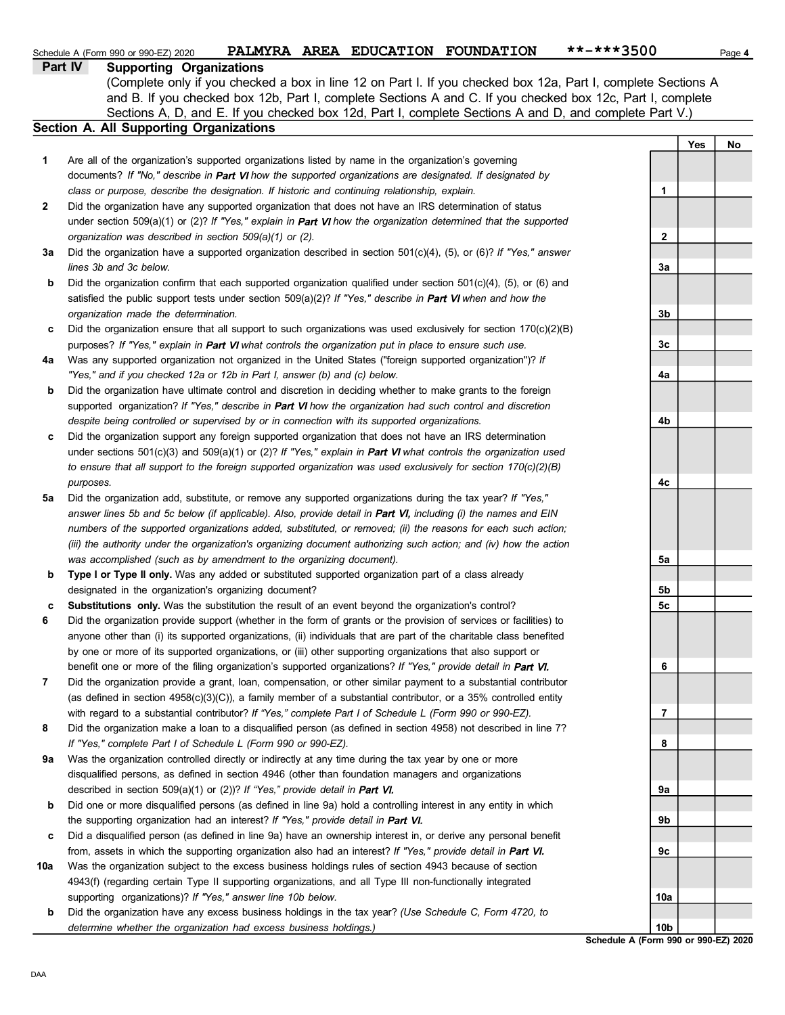|              | PALMYRA AREA EDUCATION FOUNDATION<br>Schedule A (Form 990 or 990-EZ) 2020                                                                                                                                                               | **-***3500      |     | Page 4 |
|--------------|-----------------------------------------------------------------------------------------------------------------------------------------------------------------------------------------------------------------------------------------|-----------------|-----|--------|
|              | Part IV<br><b>Supporting Organizations</b><br>(Complete only if you checked a box in line 12 on Part I. If you checked box 12a, Part I, complete Sections A                                                                             |                 |     |        |
|              | and B. If you checked box 12b, Part I, complete Sections A and C. If you checked box 12c, Part I, complete                                                                                                                              |                 |     |        |
|              | Sections A, D, and E. If you checked box 12d, Part I, complete Sections A and D, and complete Part V.)                                                                                                                                  |                 |     |        |
|              | <b>Section A. All Supporting Organizations</b>                                                                                                                                                                                          |                 | Yes | No     |
|              | Are all of the organization's supported organizations listed by name in the organization's governing                                                                                                                                    |                 |     |        |
|              | documents? If "No," describe in Part VI how the supported organizations are designated. If designated by                                                                                                                                |                 |     |        |
| $\mathbf{2}$ | class or purpose, describe the designation. If historic and continuing relationship, explain.<br>Did the organization have any supported organization that does not have an IRS determination of status                                 | $\mathbf{1}$    |     |        |
|              | under section 509(a)(1) or (2)? If "Yes," explain in Part VI how the organization determined that the supported                                                                                                                         |                 |     |        |
|              | organization was described in section 509(a)(1) or (2).                                                                                                                                                                                 | $\overline{2}$  |     |        |
| За           | Did the organization have a supported organization described in section $501(c)(4)$ , (5), or (6)? If "Yes," answer<br>lines 3b and 3c below.                                                                                           | За              |     |        |
| b            | Did the organization confirm that each supported organization qualified under section $501(c)(4)$ , (5), or (6) and                                                                                                                     |                 |     |        |
|              | satisfied the public support tests under section $509(a)(2)?$ If "Yes," describe in Part VI when and how the                                                                                                                            |                 |     |        |
|              | organization made the determination.                                                                                                                                                                                                    | 3b              |     |        |
| C            | Did the organization ensure that all support to such organizations was used exclusively for section $170(c)(2)(B)$<br>purposes? If "Yes," explain in Part VI what controls the organization put in place to ensure such use.            | 3c              |     |        |
| 4a           | Was any supported organization not organized in the United States ("foreign supported organization")? If                                                                                                                                |                 |     |        |
|              | "Yes," and if you checked 12a or 12b in Part I, answer (b) and (c) below.                                                                                                                                                               | 4a              |     |        |
| b            | Did the organization have ultimate control and discretion in deciding whether to make grants to the foreign<br>supported organization? If "Yes," describe in Part VI how the organization had such control and discretion               |                 |     |        |
|              | despite being controlled or supervised by or in connection with its supported organizations.                                                                                                                                            | 4b              |     |        |
| C            | Did the organization support any foreign supported organization that does not have an IRS determination                                                                                                                                 |                 |     |        |
|              | under sections $501(c)(3)$ and $509(a)(1)$ or (2)? If "Yes," explain in Part VI what controls the organization used<br>to ensure that all support to the foreign supported organization was used exclusively for section $170(c)(2)(B)$ |                 |     |        |
|              | purposes.                                                                                                                                                                                                                               | 4c              |     |        |
| 5a           | Did the organization add, substitute, or remove any supported organizations during the tax year? If "Yes,"                                                                                                                              |                 |     |        |
|              | answer lines 5b and 5c below (if applicable). Also, provide detail in Part VI, including (i) the names and EIN<br>numbers of the supported organizations added, substituted, or removed; (ii) the reasons for each such action;         |                 |     |        |
|              | (iii) the authority under the organization's organizing document authorizing such action; and (iv) how the action                                                                                                                       |                 |     |        |
|              | was accomplished (such as by amendment to the organizing document).                                                                                                                                                                     | 5a              |     |        |
| b            | Type I or Type II only. Was any added or substituted supported organization part of a class already<br>designated in the organization's organizing document?                                                                            | 5b              |     |        |
|              | Substitutions only. Was the substitution the result of an event beyond the organization's control?                                                                                                                                      | 5с              |     |        |
| 6            | Did the organization provide support (whether in the form of grants or the provision of services or facilities) to                                                                                                                      |                 |     |        |
|              | anyone other than (i) its supported organizations, (ii) individuals that are part of the charitable class benefited<br>by one or more of its supported organizations, or (iii) other supporting organizations that also support or      |                 |     |        |
|              | benefit one or more of the filing organization's supported organizations? If "Yes," provide detail in Part VI.                                                                                                                          | 6               |     |        |
| -7           | Did the organization provide a grant, loan, compensation, or other similar payment to a substantial contributor                                                                                                                         |                 |     |        |
|              | (as defined in section 4958(c)(3)(C)), a family member of a substantial contributor, or a 35% controlled entity<br>with regard to a substantial contributor? If "Yes," complete Part I of Schedule L (Form 990 or 990-EZ).              | $\overline{7}$  |     |        |
| 8            | Did the organization make a loan to a disqualified person (as defined in section 4958) not described in line 7?                                                                                                                         |                 |     |        |
|              | If "Yes," complete Part I of Schedule L (Form 990 or 990-EZ).                                                                                                                                                                           | 8               |     |        |
| 9а           | Was the organization controlled directly or indirectly at any time during the tax year by one or more                                                                                                                                   |                 |     |        |
|              | disqualified persons, as defined in section 4946 (other than foundation managers and organizations<br>described in section 509(a)(1) or (2))? If "Yes," provide detail in Part VI.                                                      | 9а              |     |        |
| b            | Did one or more disqualified persons (as defined in line 9a) hold a controlling interest in any entity in which                                                                                                                         |                 |     |        |
|              | the supporting organization had an interest? If "Yes," provide detail in Part VI.                                                                                                                                                       | 9b              |     |        |
| C            | Did a disqualified person (as defined in line 9a) have an ownership interest in, or derive any personal benefit<br>from, assets in which the supporting organization also had an interest? If "Yes," provide detail in Part VI.         | 9c              |     |        |
| 10a          | Was the organization subject to the excess business holdings rules of section 4943 because of section                                                                                                                                   |                 |     |        |
|              | 4943(f) (regarding certain Type II supporting organizations, and all Type III non-functionally integrated                                                                                                                               |                 |     |        |
| b            | supporting organizations)? If "Yes," answer line 10b below.<br>Did the organization have any excess business holdings in the tax year? (Use Schedule C, Form 4720, to                                                                   | 10a             |     |        |
|              | determine whether the organization had excess business holdings.)                                                                                                                                                                       | 10 <sub>b</sub> |     |        |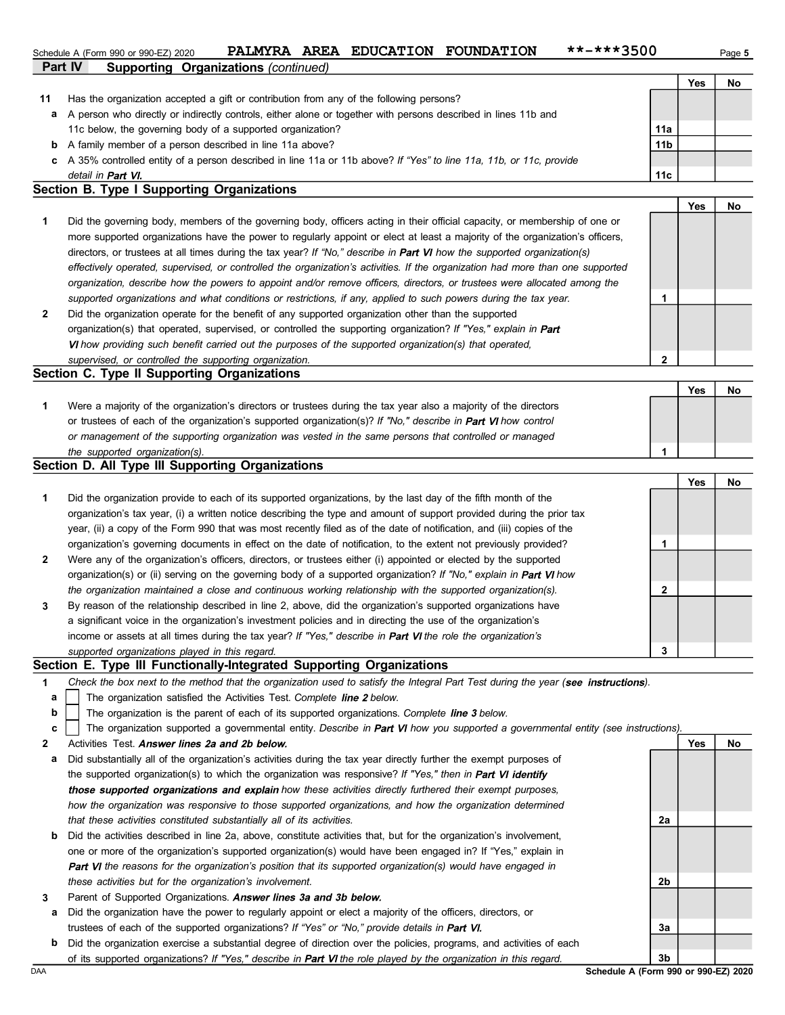| $******3500$<br>PALMYRA AREA EDUCATION<br><b>FOUNDATION</b><br>Schedule A (Form 990 or 990-EZ) 2020                                                                                                         |                 | Page 5 |  |  |
|-------------------------------------------------------------------------------------------------------------------------------------------------------------------------------------------------------------|-----------------|--------|--|--|
| Part IV<br><b>Supporting Organizations (continued)</b>                                                                                                                                                      | Yes             | No     |  |  |
| 11                                                                                                                                                                                                          |                 |        |  |  |
| Has the organization accepted a gift or contribution from any of the following persons?<br>a A person who directly or indirectly controls, either alone or together with persons described in lines 11b and |                 |        |  |  |
| 11c below, the governing body of a supported organization?                                                                                                                                                  | 11a             |        |  |  |
| <b>b</b> A family member of a person described in line 11a above?                                                                                                                                           | 11 <sub>b</sub> |        |  |  |
| c A 35% controlled entity of a person described in line 11a or 11b above? If "Yes" to line 11a, 11b, or 11c, provide                                                                                        |                 |        |  |  |

### Section B. Type I Supporting Organizations

|              | $D$ crited and $D$ is the state of sport $\mathbb{Z}/2$ and $\mathbb{Z}/2$                                                     |                 |            | ı ayu v |
|--------------|--------------------------------------------------------------------------------------------------------------------------------|-----------------|------------|---------|
|              | Part IV<br>Supporting Organizations (continued)                                                                                |                 |            |         |
|              |                                                                                                                                |                 | <b>Yes</b> | No      |
| 11           | Has the organization accepted a gift or contribution from any of the following persons?                                        |                 |            |         |
|              | a A person who directly or indirectly controls, either alone or together with persons described in lines 11b and               |                 |            |         |
|              | 11c below, the governing body of a supported organization?                                                                     | 11a             |            |         |
|              | <b>b</b> A family member of a person described in line 11a above?                                                              | 11 <sub>b</sub> |            |         |
|              | c A 35% controlled entity of a person described in line 11a or 11b above? If "Yes" to line 11a, 11b, or 11c, provide           |                 |            |         |
|              | detail in Part VI.                                                                                                             | 11 <sub>c</sub> |            |         |
|              | Section B. Type I Supporting Organizations                                                                                     |                 |            |         |
|              |                                                                                                                                |                 | <b>Yes</b> | No      |
|              | Did the governing body, members of the governing body, officers acting in their official capacity, or membership of one or     |                 |            |         |
|              | more supported organizations have the power to regularly appoint or elect at least a majority of the organization's officers,  |                 |            |         |
|              | directors, or trustees at all times during the tax year? If "No," describe in Part VI how the supported organization(s)        |                 |            |         |
|              | effectively operated, supervised, or controlled the organization's activities. If the organization had more than one supported |                 |            |         |
|              | organization, describe how the powers to appoint and/or remove officers, directors, or trustees were allocated among the       |                 |            |         |
|              | supported organizations and what conditions or restrictions, if any, applied to such powers during the tax year.               |                 |            |         |
| $\mathbf{2}$ | Did the organization operate for the benefit of any supported organization other than the supported                            |                 |            |         |
|              | organization(s) that operated, supervised, or controlled the supporting organization? If "Yes," explain in Part                |                 |            |         |
|              | VI how providing such benefit carried out the purposes of the supported organization(s) that operated,                         |                 |            |         |
|              | supervised, or controlled the supporting organization.                                                                         | $\overline{2}$  |            |         |
|              | Section C. Type II Supporting Organizations                                                                                    |                 |            |         |
|              |                                                                                                                                |                 | <b>Yes</b> | No      |
|              | Were a majority of the organization's directors or trustees during the tax year also a majority of the directors               |                 |            |         |
|              | or trustees of each of the organization's supported organization(s)? If "No," describe in Part VI how control                  |                 |            |         |
|              | or management of the supporting organization was vested in the same persons that controlled or managed                         |                 |            |         |
|              |                                                                                                                                |                 |            |         |
|              | the supported organization(s).<br>Section D. All Type III Supporting Organizations                                             |                 |            |         |
|              |                                                                                                                                |                 |            |         |
|              |                                                                                                                                |                 | <b>Yes</b> | No      |
|              | Did the organization provide to each of its supported organizations, by the last day of the fifth month of the                 |                 |            |         |
|              | organization's tax year, (i) a written notice describing the type and amount of support provided during the prior tax          |                 |            |         |
|              | year, (ii) a copy of the Form 990 that was most recently filed as of the date of notification, and (iii) copies of the         |                 |            |         |
|              | organization's governing documents in effect on the date of notification, to the extent not previously provided?               |                 |            |         |
| 2            | Were any of the organization's officers, directors, or trustees either (i) appointed or elected by the supported               |                 |            |         |

# Section C. Type II Supporting Organizations

|                                                                                                                  |  | . IV U |  |
|------------------------------------------------------------------------------------------------------------------|--|--------|--|
| Were a majority of the organization's directors or trustees during the tax year also a majority of the directors |  |        |  |
| or trustees of each of the organization's supported organization(s)? If "No," describe in Part VI how control    |  |        |  |
| or management of the supporting organization was vested in the same persons that controlled or managed           |  |        |  |
| the supported organization(s).                                                                                   |  |        |  |

### Section D. All Type III Supporting Organizations

|              |                                                                                                                        | Yes | No |  |
|--------------|------------------------------------------------------------------------------------------------------------------------|-----|----|--|
|              | Did the organization provide to each of its supported organizations, by the last day of the fifth month of the         |     |    |  |
|              | organization's tax year, (i) a written notice describing the type and amount of support provided during the prior tax  |     |    |  |
|              | year, (ii) a copy of the Form 990 that was most recently filed as of the date of notification, and (iii) copies of the |     |    |  |
|              | organization's governing documents in effect on the date of notification, to the extent not previously provided?       |     |    |  |
| $\mathbf{2}$ | Were any of the organization's officers, directors, or trustees either (i) appointed or elected by the supported       |     |    |  |
|              | organization(s) or (ii) serving on the governing body of a supported organization? If "No," explain in Part VI how     |     |    |  |
|              | the organization maintained a close and continuous working relationship with the supported organization(s).            |     |    |  |
| 3            | By reason of the relationship described in line 2, above, did the organization's supported organizations have          |     |    |  |
|              | a significant voice in the organization's investment policies and in directing the use of the organization's           |     |    |  |
|              | income or assets at all times during the tax year? If "Yes," describe in Part VI the role the organization's           |     |    |  |
|              | supported organizations played in this regard.                                                                         |     |    |  |

### Section E. Type III Functionally-Integrated Supporting Organizations

| Check the box next to the method that the organization used to satisfy the Integral Part Test during the year (see instructions). |
|-----------------------------------------------------------------------------------------------------------------------------------|
|-----------------------------------------------------------------------------------------------------------------------------------|

- **a** | The organization satisfied the Activities Test. Complete line 2 below.
- 

|  | <b>b</b> $\vert$ The organization is the parent of each of its supported organizations. Complete line 3 below.                        |
|--|---------------------------------------------------------------------------------------------------------------------------------------|
|  | c   The organization supported a governmental entity. Describe in Part VI how you supported a governmental entity (see instructions). |

- 2 Activities Test. Answer lines 2a and 2b belo
- **a** Did substantially all of the organization's activities du<br>the supported organization(s) to which the organizati<br>*those supported organizations and explain how t<br>how the organization was responsive to those supporthat t* a Did substantially all of the organization's activities during the tax year directly further the exempt purposes of the supported organization(s) to which the organization was responsive? If "Yes," then in Part VI identify how these activities directly furthered their exempt purposes, how the organization was responsive to those supported organizations, and how the organization determined that these activities constituted substantially all of its activities.
- **b** Did the activities described in line 2a, above, constitute activities that, but for the organization's involvement, one or more of the organization's supported organization(s) would have been engaged in? If "Yes," explain in Part VI the reasons for the organization's position that its supported organization(s) would have engaged in these activities but for the organization's involvement.
- 3 Parent of Supported Organizations. Answer lines 3a and 3b
- a Did the organization have the power to regularly appoint or elect a majority of the officers, directors, or trustees of each of the supported organizations? If "Yes" or "No," provide details in Part VI.
- b Did the organization exercise a substantial degree of direction over the policies, programs, and activities of each of its supported organizations? If "Yes," describe in Part VI the role played by the organization in this regard.

Yes | No 2a 2b 3a  $3b$  |  $\qquad$  |  $\qquad$  |  $\qquad$  |  $\qquad$  |  $\qquad$  |  $\qquad$  |  $\qquad$  |  $\qquad$  |  $\qquad$  |  $\qquad$  |  $\qquad$  |  $\qquad$  |  $\qquad$  |  $\qquad$  |  $\qquad$  |  $\qquad$  |  $\qquad$  |  $\qquad$  |  $\qquad$  |  $\qquad$  |  $\qquad$  |  $\qquad$  |  $\qquad$  |  $\qquad$  |  $\qquad$  |  $\qquad$  |  $\qquad$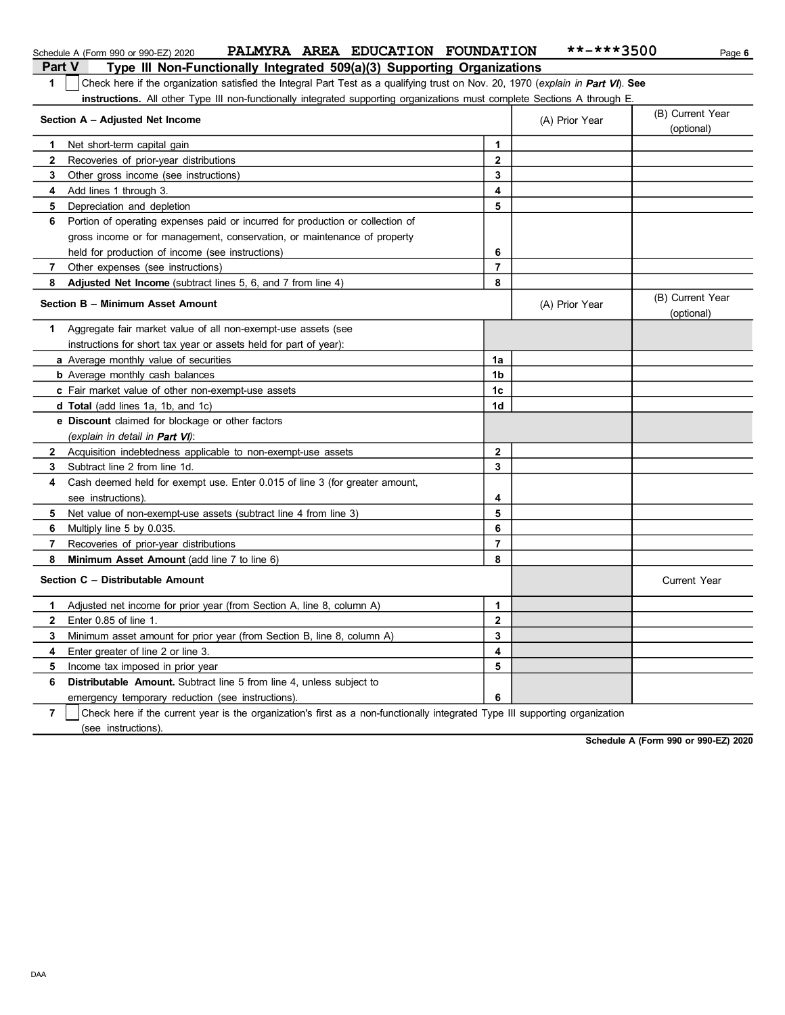| PALMYRA AREA EDUCATION FOUNDATION<br>Schedule A (Form 990 or 990-EZ) 2020                                                                        |                                | $******3500$   | Page 6                         |
|--------------------------------------------------------------------------------------------------------------------------------------------------|--------------------------------|----------------|--------------------------------|
| Part V<br>Type III Non-Functionally Integrated 509(a)(3) Supporting Organizations                                                                |                                |                |                                |
| Check here if the organization satisfied the Integral Part Test as a qualifying trust on Nov. 20, 1970 (explain in Part VI). See<br>$\mathbf{1}$ |                                |                |                                |
| instructions. All other Type III non-functionally integrated supporting organizations must complete Sections A through E.                        |                                |                |                                |
| Section A - Adjusted Net Income                                                                                                                  |                                | (A) Prior Year | (B) Current Year<br>(optional) |
| Net short-term capital gain<br>1.                                                                                                                | $\mathbf{1}$                   |                |                                |
| 2 Recoveries of prior-year distributions                                                                                                         | $\overline{2}$                 |                |                                |
| 3 Other gross income (see instructions)                                                                                                          | 3                              |                |                                |
| 4 Add lines 1 through 3.                                                                                                                         | 4                              |                |                                |
| 5 Depreciation and depletion                                                                                                                     | 5                              |                |                                |
| 6 Portion of operating expenses paid or incurred for production or collection of                                                                 |                                |                |                                |
| gross income or for management, conservation, or maintenance of property                                                                         |                                |                |                                |
| held for production of income (see instructions)                                                                                                 | 6                              |                |                                |
| Other expenses (see instructions)<br>7                                                                                                           | $\overline{7}$                 |                |                                |
| 8 Adjusted Net Income (subtract lines 5, 6, and 7 from line 4)                                                                                   | 8                              |                |                                |
| <b>Section B - Minimum Asset Amount</b>                                                                                                          |                                | (A) Prior Year | (B) Current Year<br>(optional) |
| Aggregate fair market value of all non-exempt-use assets (see<br>$\mathbf{1}$                                                                    |                                |                |                                |
| instructions for short tax year or assets held for part of year):                                                                                |                                |                |                                |
| a Average monthly value of securities                                                                                                            | 1a                             |                |                                |
| <b>b</b> Average monthly cash balances                                                                                                           | 1 <sub>b</sub>                 |                |                                |
| c Fair market value of other non-exempt-use assets                                                                                               | 1c                             |                |                                |
| d Total (add lines 1a, 1b, and 1c)                                                                                                               | 1 <sub>d</sub>                 |                |                                |
| e Discount claimed for blockage or other factors                                                                                                 |                                |                |                                |
| (explain in detail in Part VI):                                                                                                                  |                                |                |                                |
| 2 Acquisition indebtedness applicable to non-exempt-use assets                                                                                   | $\overline{2}$<br>$\mathbf{3}$ |                |                                |
|                                                                                                                                                  |                                |                |                                |
| 3 Subtract line 2 from line 1d.                                                                                                                  |                                |                |                                |
| 4 Cash deemed held for exempt use. Enter 0.015 of line 3 (for greater amount,                                                                    |                                |                |                                |
| see instructions).                                                                                                                               | 4                              |                |                                |
| 5 Net value of non-exempt-use assets (subtract line 4 from line 3)                                                                               | $5\phantom{1}$                 |                |                                |
| 6 Multiply line 5 by 0.035.                                                                                                                      | 6                              |                |                                |
| 7 Recoveries of prior-year distributions                                                                                                         | $\overline{7}$                 |                |                                |
| 8 Minimum Asset Amount (add line 7 to line 6)<br>Section C - Distributable Amount                                                                | 8                              |                | Current Year                   |
|                                                                                                                                                  |                                |                |                                |
| 1 Adjusted net income for prior year (from Section A, line 8, column A)                                                                          | $\mathbf{1}$                   |                |                                |
| 2 Enter $0.85$ of line 1.                                                                                                                        | $\overline{2}$                 |                |                                |
| 3 Minimum asset amount for prior year (from Section B, line 8, column A)                                                                         | $\mathbf{3}$                   |                |                                |
| 4 Enter greater of line 2 or line 3.                                                                                                             | 4                              |                |                                |
| 5 Income tax imposed in prior year                                                                                                               | $5\phantom{.0}$                |                |                                |
| 6 Distributable Amount. Subtract line 5 from line 4, unless subject to<br>emergency temporary reduction (see instructions).                      | 6                              |                |                                |

(see instructions).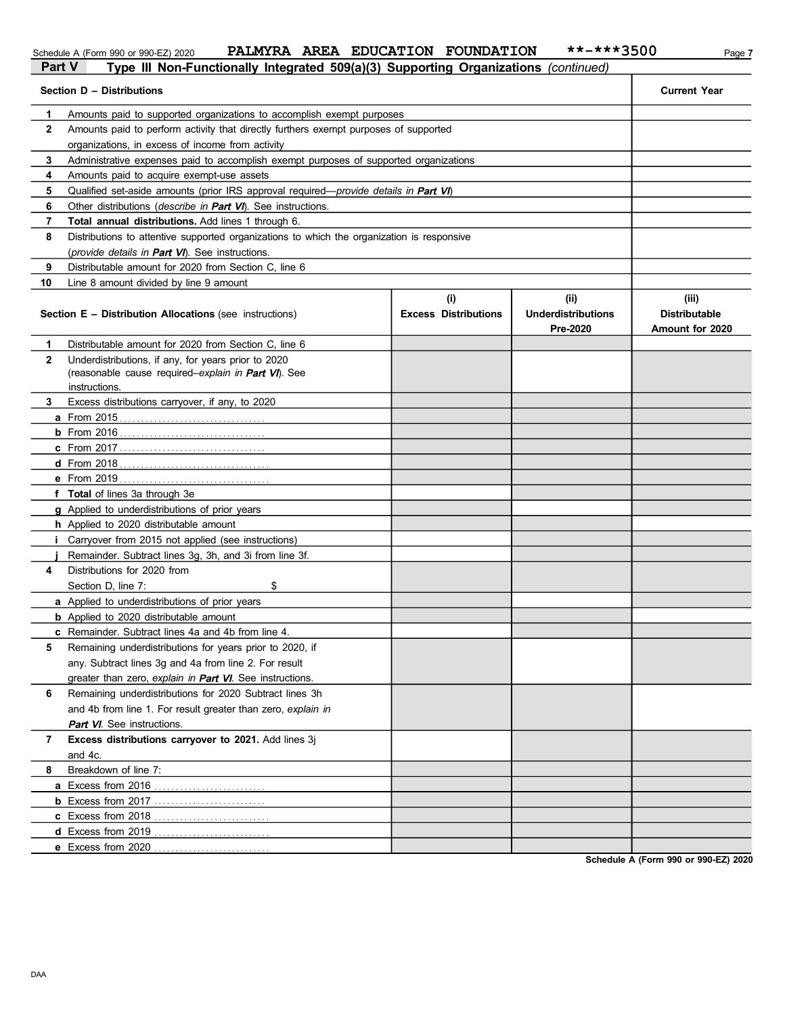|        | Schedule A (Form 990 or 990-EZ) 2020                                                |  | PALMYRA AREA EDUCATION FOUNDATION | **-***3500 |  |
|--------|-------------------------------------------------------------------------------------|--|-----------------------------------|------------|--|
| Part V | Type III Non-Functionally Integrated 509(a)(3) Supporting Organizations (continued) |  |                                   |            |  |
|        |                                                                                     |  |                                   |            |  |

| Part V<br>Type III Non-Functionally Integrated 509(a)(3) Supporting Organizations (continued)                                                                                       |                                    |                                               |                                                  |
|-------------------------------------------------------------------------------------------------------------------------------------------------------------------------------------|------------------------------------|-----------------------------------------------|--------------------------------------------------|
| Section D - Distributions                                                                                                                                                           |                                    |                                               | <b>Current Year</b>                              |
|                                                                                                                                                                                     |                                    |                                               |                                                  |
| Amounts paid to supported organizations to accomplish exempt purposes<br>1.<br>Amounts paid to perform activity that directly furthers exempt purposes of supported<br>$\mathbf{2}$ |                                    |                                               |                                                  |
| organizations, in excess of income from activity                                                                                                                                    |                                    |                                               |                                                  |
| Administrative expenses paid to accomplish exempt purposes of supported organizations<br>3                                                                                          |                                    |                                               |                                                  |
| Amounts paid to acquire exempt-use assets<br>4<br>Qualified set-aside amounts (prior IRS approval required-provide details in Part VI)<br>5                                         |                                    |                                               |                                                  |
| Other distributions (describe in Part VI). See instructions.<br>6                                                                                                                   |                                    |                                               |                                                  |
| Total annual distributions. Add lines 1 through 6.<br>7                                                                                                                             |                                    |                                               |                                                  |
| Distributions to attentive supported organizations to which the organization is responsive<br>8                                                                                     |                                    |                                               |                                                  |
| (provide details in Part VI). See instructions.<br>Distributable amount for 2020 from Section C. line 6<br>9                                                                        |                                    |                                               |                                                  |
| Line 8 amount divided by line 9 amount<br>10                                                                                                                                        |                                    |                                               |                                                  |
| <b>Section E - Distribution Allocations (see instructions)</b>                                                                                                                      | (i)<br><b>Excess Distributions</b> | (ii)<br><b>Underdistributions</b><br>Pre-2020 | (iii)<br><b>Distributable</b><br>Amount for 2020 |
| Distributable amount for 2020 from Section C, line 6                                                                                                                                |                                    |                                               |                                                  |
| Underdistributions, if any, for years prior to 2020<br>$\mathbf{2}$<br>(reasonable cause required-explain in Part VI). See                                                          |                                    |                                               |                                                  |
| instructions.                                                                                                                                                                       |                                    |                                               |                                                  |
| Excess distributions carryover, if any, to 2020<br>$3^{\circ}$                                                                                                                      |                                    |                                               |                                                  |
|                                                                                                                                                                                     |                                    |                                               |                                                  |
|                                                                                                                                                                                     |                                    |                                               |                                                  |
|                                                                                                                                                                                     |                                    |                                               |                                                  |
|                                                                                                                                                                                     |                                    |                                               |                                                  |
| f Total of lines 3a through 3e                                                                                                                                                      |                                    |                                               |                                                  |
| g Applied to underdistributions of prior years<br>h Applied to 2020 distributable amount                                                                                            |                                    |                                               |                                                  |
| <i>i</i> Carryover from 2015 not applied (see instructions)                                                                                                                         |                                    |                                               |                                                  |
| Remainder. Subtract lines 3g, 3h, and 3i from line 3f.                                                                                                                              |                                    |                                               |                                                  |
| 4 Distributions for 2020 from                                                                                                                                                       |                                    |                                               |                                                  |
| Section D, line 7:<br>\$                                                                                                                                                            |                                    |                                               |                                                  |
| a Applied to underdistributions of prior years<br><b>b</b> Applied to 2020 distributable amount                                                                                     |                                    |                                               |                                                  |
| c Remainder. Subtract lines 4a and 4b from line 4.                                                                                                                                  |                                    |                                               |                                                  |
| 5 Remaining underdistributions for years prior to 2020, if                                                                                                                          |                                    |                                               |                                                  |
| any. Subtract lines 3g and 4a from line 2. For result<br>greater than zero, explain in Part VI. See instructions.                                                                   |                                    |                                               |                                                  |
| 6 Remaining underdistributions for 2020 Subtract lines 3h                                                                                                                           |                                    |                                               |                                                  |
| and 4b from line 1. For result greater than zero, explain in                                                                                                                        |                                    |                                               |                                                  |
| Part VI. See instructions.                                                                                                                                                          |                                    |                                               |                                                  |
| Excess distributions carryover to 2021. Add lines 3j<br>$\mathbf{7}$                                                                                                                |                                    |                                               |                                                  |
| and 4c.                                                                                                                                                                             |                                    |                                               |                                                  |
| 8 Breakdown of line 7:                                                                                                                                                              |                                    |                                               |                                                  |
| a Excess from 2016                                                                                                                                                                  |                                    |                                               |                                                  |
| <b>b</b> Excess from 2017<br>c Excess from 2018                                                                                                                                     |                                    |                                               |                                                  |
| <b>d</b> Excess from $2019$<br>e Excess from 2020                                                                                                                                   |                                    |                                               |                                                  |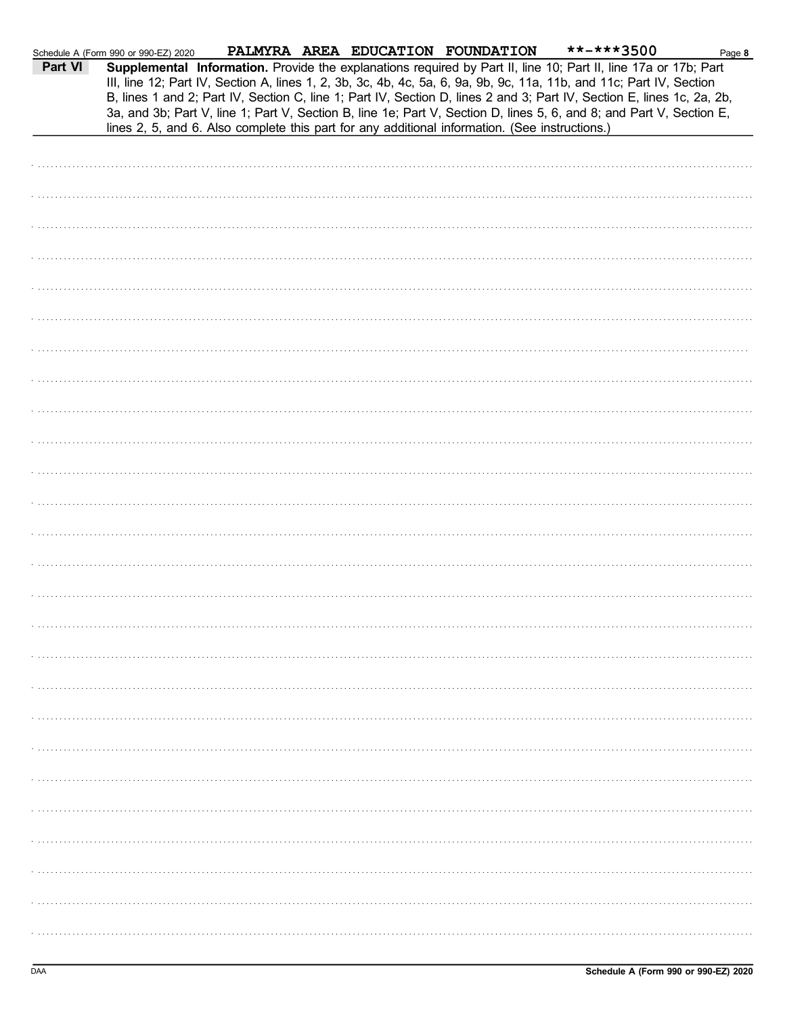|         | Schedule A (Form 990 or 990-EZ) 2020 |  | PALMYRA AREA EDUCATION FOUNDATION                                                                                                                                                                                                                                                                                                                                                                                                                                                                                                                                                           | **-***3500 | Page 8 |
|---------|--------------------------------------|--|---------------------------------------------------------------------------------------------------------------------------------------------------------------------------------------------------------------------------------------------------------------------------------------------------------------------------------------------------------------------------------------------------------------------------------------------------------------------------------------------------------------------------------------------------------------------------------------------|------------|--------|
| Part VI |                                      |  | Supplemental Information. Provide the explanations required by Part II, line 10; Part II, line 17a or 17b; Part<br>III, line 12; Part IV, Section A, lines 1, 2, 3b, 3c, 4b, 4c, 5a, 6, 9a, 9b, 9c, 11a, 11b, and 11c; Part IV, Section<br>B, lines 1 and 2; Part IV, Section C, line 1; Part IV, Section D, lines 2 and 3; Part IV, Section E, lines 1c, 2a, 2b,<br>3a, and 3b; Part V, line 1; Part V, Section B, line 1e; Part V, Section D, lines 5, 6, and 8; and Part V, Section E,<br>lines 2, 5, and 6. Also complete this part for any additional information. (See instructions.) |            |        |
|         |                                      |  |                                                                                                                                                                                                                                                                                                                                                                                                                                                                                                                                                                                             |            |        |
|         |                                      |  |                                                                                                                                                                                                                                                                                                                                                                                                                                                                                                                                                                                             |            |        |
|         |                                      |  |                                                                                                                                                                                                                                                                                                                                                                                                                                                                                                                                                                                             |            |        |
|         |                                      |  |                                                                                                                                                                                                                                                                                                                                                                                                                                                                                                                                                                                             |            |        |
|         |                                      |  |                                                                                                                                                                                                                                                                                                                                                                                                                                                                                                                                                                                             |            |        |
|         |                                      |  |                                                                                                                                                                                                                                                                                                                                                                                                                                                                                                                                                                                             |            |        |
|         |                                      |  |                                                                                                                                                                                                                                                                                                                                                                                                                                                                                                                                                                                             |            |        |
|         |                                      |  |                                                                                                                                                                                                                                                                                                                                                                                                                                                                                                                                                                                             |            |        |
|         |                                      |  |                                                                                                                                                                                                                                                                                                                                                                                                                                                                                                                                                                                             |            |        |
|         |                                      |  |                                                                                                                                                                                                                                                                                                                                                                                                                                                                                                                                                                                             |            |        |
|         |                                      |  |                                                                                                                                                                                                                                                                                                                                                                                                                                                                                                                                                                                             |            |        |
|         |                                      |  |                                                                                                                                                                                                                                                                                                                                                                                                                                                                                                                                                                                             |            |        |
|         |                                      |  |                                                                                                                                                                                                                                                                                                                                                                                                                                                                                                                                                                                             |            |        |
|         |                                      |  |                                                                                                                                                                                                                                                                                                                                                                                                                                                                                                                                                                                             |            |        |
|         |                                      |  |                                                                                                                                                                                                                                                                                                                                                                                                                                                                                                                                                                                             |            |        |
|         |                                      |  |                                                                                                                                                                                                                                                                                                                                                                                                                                                                                                                                                                                             |            |        |
|         |                                      |  |                                                                                                                                                                                                                                                                                                                                                                                                                                                                                                                                                                                             |            |        |
|         |                                      |  |                                                                                                                                                                                                                                                                                                                                                                                                                                                                                                                                                                                             |            |        |
|         |                                      |  |                                                                                                                                                                                                                                                                                                                                                                                                                                                                                                                                                                                             |            |        |
|         |                                      |  |                                                                                                                                                                                                                                                                                                                                                                                                                                                                                                                                                                                             |            |        |
|         |                                      |  |                                                                                                                                                                                                                                                                                                                                                                                                                                                                                                                                                                                             |            |        |
|         |                                      |  |                                                                                                                                                                                                                                                                                                                                                                                                                                                                                                                                                                                             |            |        |
|         |                                      |  |                                                                                                                                                                                                                                                                                                                                                                                                                                                                                                                                                                                             |            |        |
|         |                                      |  |                                                                                                                                                                                                                                                                                                                                                                                                                                                                                                                                                                                             |            |        |
|         |                                      |  |                                                                                                                                                                                                                                                                                                                                                                                                                                                                                                                                                                                             |            |        |
|         |                                      |  |                                                                                                                                                                                                                                                                                                                                                                                                                                                                                                                                                                                             |            |        |
|         |                                      |  |                                                                                                                                                                                                                                                                                                                                                                                                                                                                                                                                                                                             |            |        |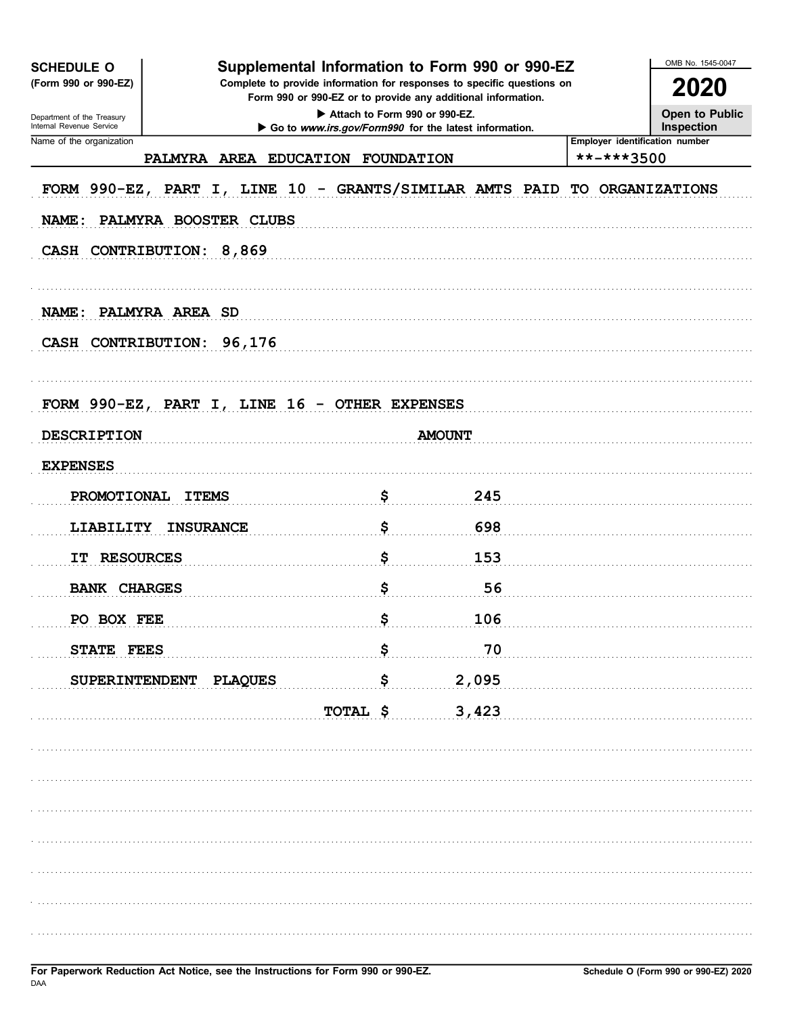| <b>SCHEDULE O</b>                                    |                                                                          | Supplemental Information to Form 990 or 990-EZ                                                                                         |               |                                | OMB No. 1545-0047 |
|------------------------------------------------------|--------------------------------------------------------------------------|----------------------------------------------------------------------------------------------------------------------------------------|---------------|--------------------------------|-------------------|
| (Form 990 or 990-EZ)                                 |                                                                          | Complete to provide information for responses to specific questions on<br>Form 990 or 990-EZ or to provide any additional information. |               |                                | 2020              |
| Department of the Treasury                           |                                                                          | Attach to Form 990 or 990-EZ.                                                                                                          |               |                                | Open to Public    |
| Internal Revenue Service<br>Name of the organization |                                                                          | Go to www.irs.gov/Form990 for the latest information.                                                                                  |               | Employer identification number | Inspection        |
|                                                      | PALMYRA AREA                                                             | EDUCATION FOUNDATION                                                                                                                   |               | $******3500$                   |                   |
|                                                      | FORM 990-EZ, PART I, LINE 10 - GRANTS/SIMILAR AMTS PAID TO ORGANIZATIONS |                                                                                                                                        |               |                                |                   |
| NAME:                                                | PALMYRA BOOSTER CLUBS                                                    |                                                                                                                                        |               |                                |                   |
| CASH CONTRIBUTION:                                   | 8,869                                                                    |                                                                                                                                        |               |                                |                   |
| NAME:                                                | PALMYRA AREA SD                                                          |                                                                                                                                        |               |                                |                   |
| CASH CONTRIBUTION:                                   | 96,176                                                                   |                                                                                                                                        |               |                                |                   |
|                                                      | FORM 990-EZ, PART I, LINE 16 - OTHER EXPENSES                            |                                                                                                                                        |               |                                |                   |
| <b>DESCRIPTION</b>                                   |                                                                          |                                                                                                                                        | <b>AMOUNT</b> |                                |                   |
| <b>EXPENSES</b>                                      |                                                                          |                                                                                                                                        |               |                                |                   |
|                                                      | PROMOTIONAL ITEMS                                                        | \$                                                                                                                                     | 245           |                                |                   |
| LIABILITY                                            | <b>INSURANCE</b>                                                         | \$                                                                                                                                     | 698           |                                |                   |
| <b>RESOURCES</b><br>IT                               |                                                                          | \$                                                                                                                                     | 153           |                                |                   |
| <b>BANK CHARGES</b>                                  |                                                                          | \$                                                                                                                                     | 56            |                                |                   |
| PO BOX FEE                                           |                                                                          | Ŝ                                                                                                                                      | 106           |                                |                   |
| STATE FEES                                           |                                                                          | \$                                                                                                                                     | 70            |                                |                   |
| <b>SUPERINTENDENT</b>                                | <b>PLAQUES</b>                                                           | \$                                                                                                                                     | 2,095         |                                |                   |
|                                                      |                                                                          | TOTAL \$                                                                                                                               | 3,423         |                                |                   |
|                                                      |                                                                          |                                                                                                                                        |               |                                |                   |
|                                                      |                                                                          |                                                                                                                                        |               |                                |                   |
|                                                      |                                                                          |                                                                                                                                        |               |                                |                   |
|                                                      |                                                                          |                                                                                                                                        |               |                                |                   |
|                                                      |                                                                          |                                                                                                                                        |               |                                |                   |
|                                                      |                                                                          |                                                                                                                                        |               |                                |                   |
|                                                      |                                                                          |                                                                                                                                        |               |                                |                   |